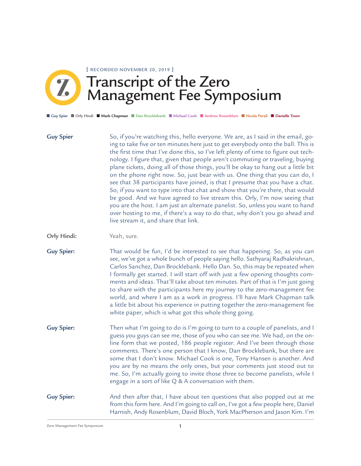Transcript of the Zero Management Fee Symposium **[** RECORDED NOVEMBER 20, 2019 **]**

■ **Guy Spier** ■ **Orly Hindi** ■ **Mark Chapman** ■ **Dan Brocklebank** ■ **Michael Cook** ■ **Andrew Rosenblum** ■ **Nicola Perali** ■ **Danielle Town**

**Guy Spier Orly Hindi:** So, if you're watching this, hello everyone. We are, as I said in the email, going to take five or ten minutes here just to get everybody onto the ball. This is the first time that I've done this, so I've left plenty of time to figure out technology. I figure that, given that people aren't commuting or traveling, buying plane tickets, doing all of those things, you'll be okay to hang out a little bit on the phone right now. So, just bear with us. One thing that you can do, I see that 38 participants have joined, is that I presume that you have a chat. So, if you want to type into that chat and show that you're there, that would be good. And we have agreed to live stream this. Orly, I'm now seeing that you are the host. I am just an alternate panelist. So, unless you want to hand over hosting to me, if there's a way to do that, why don't you go ahead and live stream it, and share that link. Yeah, sure.

**Guy Spier:** That would be fun, I'd be interested to see that happening. So, as you can see, we've got a whole bunch of people saying hello. Sathyaraj Radhakrishnan, Carlos Sanchez, Dan Brocklebank. Hello Dan. So, this may be repeated when I formally get started. I will start off with just a few opening thoughts comments and ideas. That'll take about ten minutes. Part of that is I'm just going to share with the participants here my journey to the zero-management fee world, and where I am as a work in progress. I'll have Mark Chapman talk a little bit about his experience in putting together the zero-management fee white paper, which is what got this whole thing going.

**Guy Spier:** Then what I'm going to do is I'm going to turn to a couple of panelists, and I guess you guys can see me, those of you who can see me. We had, on the online form that we posted, 186 people register. And I've been through those comments. There's one person that I know, Dan Brocklebank, but there are some that I don't know. Michael Cook is one, Tony Hansen is another. And you are by no means the only ones, but your comments just stood out to me. So, I'm actually going to invite those three to become panelists, while I engage in a sort of like Q & A conversation with them.

**Guy Spier:** And then after that, I have about ten questions that also popped out at me from this form here. And I'm going to call on, I've got a few people here, Daniel Harnish, Andy Rosenblum, David Bloch, York MacPherson and Jason Kim. I'm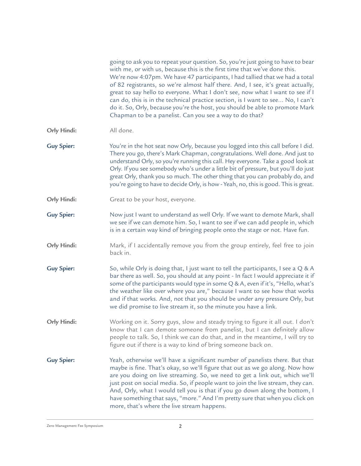|                   | going to ask you to repeat your question. So, you're just going to have to bear<br>with me, or with us, because this is the first time that we've done this.<br>We're now 4:07pm. We have 47 participants, I had tallied that we had a total<br>of 82 registrants, so we're almost half there. And, I see, it's great actually,<br>great to say hello to everyone. What I don't see, now what I want to see if I<br>can do, this is in the technical practice section, is I want to see No, I can't<br>do it. So, Orly, because you're the host, you should be able to promote Mark<br>Chapman to be a panelist. Can you see a way to do that? |
|-------------------|------------------------------------------------------------------------------------------------------------------------------------------------------------------------------------------------------------------------------------------------------------------------------------------------------------------------------------------------------------------------------------------------------------------------------------------------------------------------------------------------------------------------------------------------------------------------------------------------------------------------------------------------|
| Orly Hindi:       | All done.                                                                                                                                                                                                                                                                                                                                                                                                                                                                                                                                                                                                                                      |
| <b>Guy Spier:</b> | You're in the hot seat now Orly, because you logged into this call before I did.<br>There you go, there's Mark Chapman, congratulations. Well done. And just to<br>understand Orly, so you're running this call. Hey everyone. Take a good look at<br>Orly. If you see somebody who's under a little bit of pressure, but you'll do just<br>great Orly, thank you so much. The other thing that you can probably do, and<br>you're going to have to decide Orly, is how - Yeah, no, this is good. This is great.                                                                                                                               |
| Orly Hindi:       | Great to be your host, everyone.                                                                                                                                                                                                                                                                                                                                                                                                                                                                                                                                                                                                               |
| <b>Guy Spier:</b> | Now just I want to understand as well Orly. If we want to demote Mark, shall<br>we see if we can demote him. So, I want to see if we can add people in, which<br>is in a certain way kind of bringing people onto the stage or not. Have fun.                                                                                                                                                                                                                                                                                                                                                                                                  |
| Orly Hindi:       | Mark, if I accidentally remove you from the group entirely, feel free to join<br>back in.                                                                                                                                                                                                                                                                                                                                                                                                                                                                                                                                                      |
| <b>Guy Spier:</b> | So, while Orly is doing that, I just want to tell the participants, I see a $Q & A$<br>bar there as well. So, you should at any point - In fact I would appreciate it if<br>some of the participants would type in some Q & A, even if it's, "Hello, what's<br>the weather like over where you are," because I want to see how that works<br>and if that works. And, not that you should be under any pressure Orly, but<br>we did promise to live stream it, so the minute you have a link.                                                                                                                                                   |
| Orly Hindi:       | Working on it. Sorry guys, slow and steady trying to figure it all out. I don't<br>know that I can demote someone from panelist, but I can definitely allow<br>people to talk. So, I think we can do that, and in the meantime, I will try to<br>figure out if there is a way to kind of bring someone back on.                                                                                                                                                                                                                                                                                                                                |
| <b>Guy Spier:</b> | Yeah, otherwise we'll have a significant number of panelists there. But that<br>maybe is fine. That's okay, so we'll figure that out as we go along. Now how<br>are you doing on live streaming. So, we need to get a link out, which we'll<br>just post on social media. So, if people want to join the live stream, they can.<br>And, Orly, what I would tell you is that if you go down along the bottom, I<br>have something that says, "more." And I'm pretty sure that when you click on<br>more, that's where the live stream happens.                                                                                                  |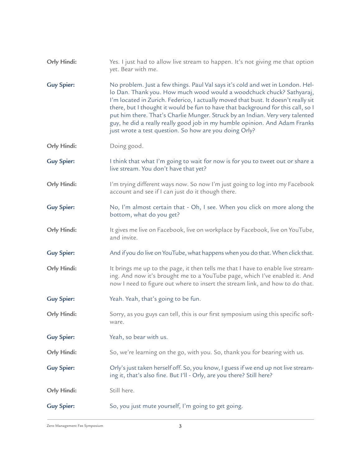| Orly Hindi:       | Yes. I just had to allow live stream to happen. It's not giving me that option<br>yet. Bear with me.                                                                                                                                                                                                                                                                                                                                                                                                                                                      |
|-------------------|-----------------------------------------------------------------------------------------------------------------------------------------------------------------------------------------------------------------------------------------------------------------------------------------------------------------------------------------------------------------------------------------------------------------------------------------------------------------------------------------------------------------------------------------------------------|
| <b>Guy Spier:</b> | No problem. Just a few things. Paul Val says it's cold and wet in London. Hel-<br>lo Dan. Thank you. How much wood would a woodchuck chuck? Sathyaraj,<br>I'm located in Zurich. Federico, I actually moved that bust. It doesn't really sit<br>there, but I thought it would be fun to have that background for this call, so I<br>put him there. That's Charlie Munger. Struck by an Indian. Very very talented<br>guy, he did a really really good job in my humble opinion. And Adam Franks<br>just wrote a test question. So how are you doing Orly? |
| Orly Hindi:       | Doing good.                                                                                                                                                                                                                                                                                                                                                                                                                                                                                                                                               |
| <b>Guy Spier:</b> | I think that what I'm going to wait for now is for you to tweet out or share a<br>live stream. You don't have that yet?                                                                                                                                                                                                                                                                                                                                                                                                                                   |
| Orly Hindi:       | I'm trying different ways now. So now I'm just going to log into my Facebook<br>account and see if I can just do it though there.                                                                                                                                                                                                                                                                                                                                                                                                                         |
| <b>Guy Spier:</b> | No, I'm almost certain that - Oh, I see. When you click on more along the<br>bottom, what do you get?                                                                                                                                                                                                                                                                                                                                                                                                                                                     |
| Orly Hindi:       | It gives me live on Facebook, live on workplace by Facebook, live on YouTube,<br>and invite.                                                                                                                                                                                                                                                                                                                                                                                                                                                              |
| <b>Guy Spier:</b> | And if you do live on YouTube, what happens when you do that. When click that.                                                                                                                                                                                                                                                                                                                                                                                                                                                                            |
| Orly Hindi:       | It brings me up to the page, it then tells me that I have to enable live stream-<br>ing. And now it's brought me to a YouTube page, which I've enabled it. And<br>now I need to figure out where to insert the stream link, and how to do that.                                                                                                                                                                                                                                                                                                           |
| <b>Guy Spier:</b> | Yeah. Yeah, that's going to be fun.                                                                                                                                                                                                                                                                                                                                                                                                                                                                                                                       |
| Orly Hindi:       | Sorry, as you guys can tell, this is our first symposium using this specific soft-<br>ware.                                                                                                                                                                                                                                                                                                                                                                                                                                                               |
| <b>Guy Spier:</b> | Yeah, so bear with us.                                                                                                                                                                                                                                                                                                                                                                                                                                                                                                                                    |
| Orly Hindi:       | So, we're learning on the go, with you. So, thank you for bearing with us.                                                                                                                                                                                                                                                                                                                                                                                                                                                                                |
| <b>Guy Spier:</b> | Orly's just taken herself off. So, you know, I guess if we end up not live stream-<br>ing it, that's also fine. But I'll - Orly, are you there? Still here?                                                                                                                                                                                                                                                                                                                                                                                               |
| Orly Hindi:       | Still here.                                                                                                                                                                                                                                                                                                                                                                                                                                                                                                                                               |
| <b>Guy Spier:</b> | So, you just mute yourself, I'm going to get going.                                                                                                                                                                                                                                                                                                                                                                                                                                                                                                       |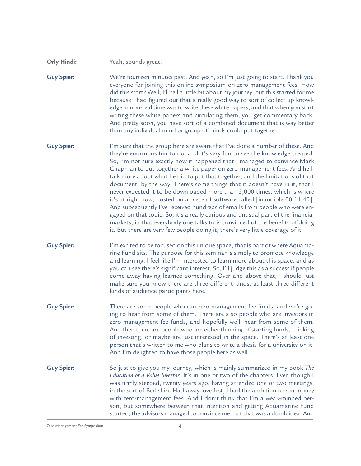Yeah, sounds great. **Orly Hindi:**

We're fourteen minutes past. And yeah, so I'm just going to start. Thank you everyone for joining this online symposium on zero-management fees. How did this start? Well, I'll tell a little bit about my journey, but this started for me because I had figured out that a really good way to sort of collect up knowledge in non-real time was to write these white papers, and that when you start writing these white papers and circulating them, you get commentary back. And pretty soon, you have sort of a combined document that is way better than any individual mind or group of minds could put together. **Guy Spier:**

I'm sure that the group here are aware that I've done a number of these. And they're enormous fun to do, and it's very fun to see the knowledge created. So, I'm not sure exactly how it happened that I managed to convince Mark Chapman to put together a white paper on zero-management fees. And he'll talk more about what he did to put that together, and the limitations of that document, by the way. There's some things that it doesn't have in it, that I never expected it to be downloaded more than 3,000 times, which is where it's at right now, hosted on a piece of software called [inaudible 00:11:40]. And subsequently I've received hundreds of emails from people who were engaged on that topic. So, it's a really curious and unusual part of the financial markets, in that everybody one talks to is convinced of the benefits of doing it. But there are very few people doing it, there's very little coverage of it. **Guy Spier:**

I'm excited to be focused on this unique space, that is part of where Aquamarine Fund sits. The purpose for this seminar is simply to promote knowledge and learning. I feel like I'm interested to learn more about this space, and as you can see there's significant interest. So, I'll judge this as a success if people come away having learned something. Over and above that, I should just make sure you know there are three different kinds, at least three different kinds of audience participants here. **Guy Spier:**

- There are some people who run zero-management fee funds, and we're going to hear from some of them. There are also people who are investors in zero-management fee funds, and hopefully we'll hear from some of them. And then there are people who are either thinking of starting funds, thinking of investing, or maybe are just interested in the space. There's at least one person that's written to me who plans to write a thesis for a university on it. And I'm delighted to have those people here as well. **Guy Spier:**
- So just to give you my journey, which is mainly summarized in my book *The Education of a Value Investor*. It's in one or two of the chapters. Even though I was firmly steeped, twenty years ago, having attended one or two meetings, in the sort of Berkshire-Hathaway love fest, I had the ambition to run money with zero-management fees. And I don't think that I'm a weak-minded person, but somewhere between that intention and getting Aquamarine Fund started, the advisors managed to convince me that that was a dumb idea. And **Guy Spier:**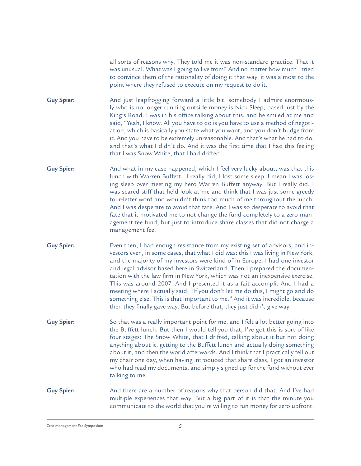all sorts of reasons why. They told me it was non-standard practice. That it was unusual. What was I going to live from? And no matter how much I tried to convince them of the rationality of doing it that way, it was almost to the point where they refused to execute on my request to do it.

And just leapfrogging forward a little bit, somebody I admire enormously who is no longer running outside money is Nick Sleep, based just by the King's Road. I was in his office talking about this, and he smiled at me and said, "Yeah, I know. All you have to do is you have to use a method of negotiation, which is basically you state what you want, and you don't budge from it. And you have to be extremely unreasonable. And that's what he had to do, and that's what I didn't do. And it was the first time that I had this feeling that I was Snow White, that I had drifted. **Guy Spier:**

- And what in my case happened, which I feel very lucky about, was that this lunch with Warren Buffett. I really did, I lost some sleep. I mean I was losing sleep over meeting my hero Warren Buffett anyway. But I really did. I was scared stiff that he'd look at me and think that I was just some greedy four-letter word and wouldn't think too much of me throughout the lunch. And I was desperate to avoid that fate. And I was so desperate to avoid that fate that it motivated me to not change the fund completely to a zero-management fee fund, but just to introduce share classes that did not charge a management fee. **Guy Spier:**
- Even then, I had enough resistance from my existing set of advisors, and investors even, in some cases, that what I did was: this I was living in New York, and the majority of my investors were kind of in Europe. I had one investor and legal advisor based here in Switzerland. Then I prepared the documentation with the law firm in New York, which was not an inexpensive exercise. This was around 2007. And I presented it as a fait accompli. And I had a meeting where I actually said, "If you don't let me do this, I might go and do something else. This is that important to me." And it was incredible, because then they finally gave way. But before that, they just didn't give way. **Guy Spier:**
- So that was a really important point for me, and I felt a lot better going into the Buffett lunch. But then I would tell you that, I've got this is sort of like four stages: The Snow White, that I drifted, talking about it but not doing anything about it, getting to the Buffett lunch and actually doing something about it, and then the world afterwards. And I think that I practically fell out my chair one day, when having introduced that share class, I got an investor who had read my documents, and simply signed up for the fund without ever talking to me. **Guy Spier:**
- And there are a number of reasons why that person did that. And I've had multiple experiences that way. But a big part of it is that the minute you communicate to the world that you're willing to run money for zero upfront, **Guy Spier:**

 $\sigma$ Zero Management Fee Symposium  $\sigma$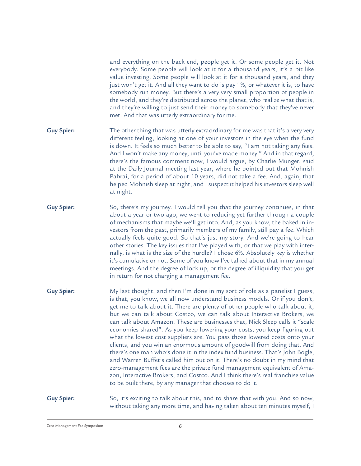and everything on the back end, people get it. Or some people get it. Not everybody. Some people will look at it for a thousand years, it's a bit like value investing. Some people will look at it for a thousand years, and they just won't get it. And all they want to do is pay 1%, or whatever it is, to have somebody run money. But there's a very very small proportion of people in the world, and they're distributed across the planet, who realize what that is, and they're willing to just send their money to somebody that they've never met. And that was utterly extraordinary for me.

- The other thing that was utterly extraordinary for me was that it's a very very different feeling, looking at one of your investors in the eye when the fund is down. It feels so much better to be able to say, "I am not taking any fees. And I won't make any money, until you've made money." And in that regard, there's the famous comment now, I would argue, by Charlie Munger, said at the Daily Journal meeting last year, where he pointed out that Mohnish Pabrai, for a period of about 10 years, did not take a fee. And, again, that helped Mohnish sleep at night, and I suspect it helped his investors sleep well at night. **Guy Spier:**
- So, there's my journey. I would tell you that the journey continues, in that about a year or two ago, we went to reducing yet further through a couple of mechanisms that maybe we'll get into. And, as you know, the baked in investors from the past, primarily members of my family, still pay a fee. Which actually feels quite good. So that's just my story. And we're going to hear other stories. The key issues that I've played with, or that we play with internally, is what is the size of the hurdle? I chose 6%. Absolutely key is whether it's cumulative or not. Some of you know I've talked about that in my annual meetings. And the degree of lock up, or the degree of illiquidity that you get in return for not charging a management fee. **Guy Spier:**
- My last thought, and then I'm done in my sort of role as a panelist I guess, is that, you know, we all now understand business models. Or if you don't, get me to talk about it. There are plenty of other people who talk about it, but we can talk about Costco, we can talk about Interactive Brokers, we can talk about Amazon. These are businesses that, Nick Sleep calls it "scale economies shared". As you keep lowering your costs, you keep figuring out what the lowest cost suppliers are. You pass those lowered costs onto your clients, and you win an enormous amount of goodwill from doing that. And there's one man who's done it in the index fund business. That's John Bogle, and Warren Buffet's called him out on it. There's no doubt in my mind that zero-management fees are the private fund management equivalent of Amazon, Interactive Brokers, and Costco. And I think there's real franchise value to be built there, by any manager that chooses to do it. **Guy Spier:**

So, it's exciting to talk about this, and to share that with you. And so now, without taking any more time, and having taken about ten minutes myself, I **Guy Spier:**

Zero Management Fee Symposium  $\epsilon$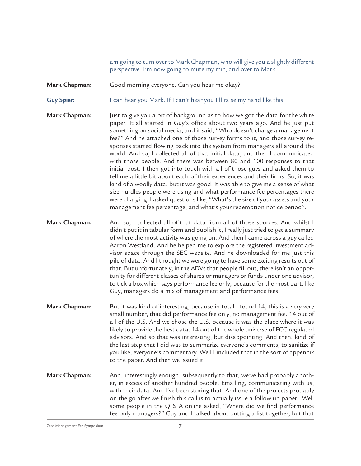am going to turn over to Mark Chapman, who will give you a slightly different perspective. I'm now going to mute my mic, and over to Mark.

Good morning everyone. Can you hear me okay? **Mark Chapman:**

I can hear you Mark. If I can't hear you I'll raise my hand like this. **Guy Spier:**

Just to give you a bit of background as to how we got the data for the white paper. It all started in Guy's office about two years ago. And he just put something on social media, and it said, "Who doesn't charge a management fee?" And he attached one of those survey forms to it, and those survey responses started flowing back into the system from managers all around the world. And so, I collected all of that initial data, and then I communicated with those people. And there was between 80 and 100 responses to that initial post. I then got into touch with all of those guys and asked them to tell me a little bit about each of their experiences and their firms. So, it was kind of a woolly data, but it was good. It was able to give me a sense of what size hurdles people were using and what performance fee percentages there were charging. I asked questions like, "What's the size of your assets and your management fee percentage, and what's your redemption notice period". **Mark Chapman:**

And so, I collected all of that data from all of those sources. And whilst I didn't put it in tabular form and publish it, I really just tried to get a summary of where the most activity was going on. And then I came across a guy called Aaron Westland. And he helped me to explore the registered investment advisor space through the SEC website. And he downloaded for me just this pile of data. And I thought we were going to have some exciting results out of that. But unfortunately, in the ADVs that people fill out, there isn't an opportunity for different classes of shares or managers or funds under one advisor, to tick a box which says performance fee only, because for the most part, like Guy, managers do a mix of management and performance fees. **Mark Chapman:**

- But it was kind of interesting, because in total I found 14, this is a very very small number, that did performance fee only, no management fee. 14 out of all of the U.S. And we chose the U.S. because it was the place where it was likely to provide the best data. 14 out of the whole universe of FCC regulated advisors. And so that was interesting, but disappointing. And then, kind of the last step that I did was to summarize everyone's comments, to sanitize if you like, everyone's commentary. Well I included that in the sort of appendix to the paper. And then we issued it. **Mark Chapman:**
- And, interestingly enough, subsequently to that, we've had probably another, in excess of another hundred people. Emailing, communicating with us, with their data. And I've been storing that. And one of the projects probably on the go after we finish this call is to actually issue a follow up paper. Well some people in the Q & A online asked, "Where did we find performance fee only managers?" Guy and I talked about putting a list together, but that **Mark Chapman:**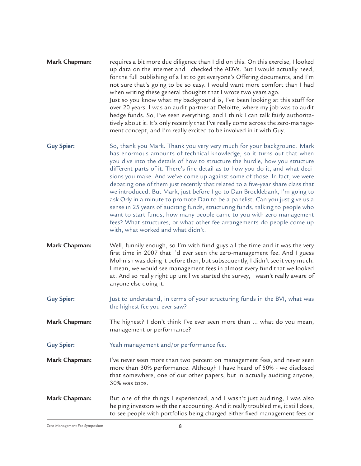- requires a bit more due diligence than I did on this. On this exercise, I looked up data on the internet and I checked the ADVs. But I would actually need, for the full publishing of a list to get everyone's Offering documents, and I'm not sure that's going to be so easy. I would want more comfort than I had when writing these general thoughts that I wrote two years ago. Just so you know what my background is, I've been looking at this stuff for over 20 years. I was an audit partner at Deloitte, where my job was to audit hedge funds. So, I've seen everything, and I think I can talk fairly authoritatively about it. It's only recently that I've really come across the zero-management concept, and I'm really excited to be involved in it with Guy. **Mark Chapman:**
- So, thank you Mark. Thank you very very much for your background. Mark has enormous amounts of technical knowledge, so it turns out that when you dive into the details of how to structure the hurdle, how you structure different parts of it. There's fine detail as to how you do it, and what decisions you make. And we've come up against some of those. In fact, we were debating one of them just recently that related to a five-year share class that we introduced. But Mark, just before I go to Dan Brocklebank, I'm going to ask Orly in a minute to promote Dan to be a panelist. Can you just give us a sense in 25 years of auditing funds, structuring funds, talking to people who want to start funds, how many people came to you with zero-management fees? What structures, or what other fee arrangements do people come up with, what worked and what didn't. **Guy Spier:**
- Well, funnily enough, so I'm with fund guys all the time and it was the very first time in 2007 that I'd ever seen the zero-management fee. And I guess Mohnish was doing it before then, but subsequently, I didn't see it very much. I mean, we would see management fees in almost every fund that we looked at. And so really right up until we started the survey, I wasn't really aware of anyone else doing it. **Mark Chapman:**
- Just to understand, in terms of your structuring funds in the BVI, what was the highest fee you ever saw? **Guy Spier:**

The highest? I don't think I've ever seen more than ... what do you mean, management or performance? **Mark Chapman:**

- Yeah management and/or performance fee. **Guy Spier:**
- I've never seen more than two percent on management fees, and never seen more than 30% performance. Although I have heard of 50% - we disclosed that somewhere, one of our other papers, but in actually auditing anyone, 30% was tops. **Mark Chapman:**
- But one of the things I experienced, and I wasn't just auditing, I was also helping investors with their accounting. And it really troubled me, it still does, to see people with portfolios being charged either fixed management fees or **Mark Chapman:**

 $\sigma$ Zero Management Fee Symposium  $\sigma$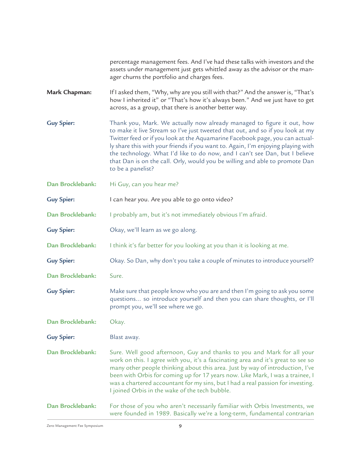percentage management fees. And I've had these talks with investors and the assets under management just gets whittled away as the advisor or the manager churns the portfolio and charges fees.

If I asked them, "Why, why are you still with that?" And the answer is, "That's how I inherited it" or "That's how it's always been." And we just have to get across, as a group, that there is another better way. **Mark Chapman:**

Thank you, Mark. We actually now already managed to figure it out, how to make it live Stream so I've just tweeted that out, and so if you look at my Twitter feed or if you look at the Aquamarine Facebook page, you can actually share this with your friends if you want to. Again, I'm enjoying playing with the technology. What I'd like to do now, and I can't see Dan, but I believe that Dan is on the call. Orly, would you be willing and able to promote Dan to be a panelist? **Guy Spier:**

Hi Guy, can you hear me? **Dan Brocklebank:**

I can hear you. Are you able to go onto video? **Guy Spier:**

I probably am, but it's not immediately obvious I'm afraid. **Dan Brocklebank:**

Okay, we'll learn as we go along. **Guy Spier:**

I think it's far better for you looking at you than it is looking at me. **Dan Brocklebank:**

Okay. So Dan, why don't you take a couple of minutes to introduce yourself? **Guy Spier:**

Sure. **Dan Brocklebank:**

Make sure that people know who you are and then I'm going to ask you some questions... so introduce yourself and then you can share thoughts, or I'll prompt you, we'll see where we go. **Guy Spier:**

Okay. **Dan Brocklebank:**

Blast away. **Guy Spier:**

Sure. Well good afternoon, Guy and thanks to you and Mark for all your work on this. I agree with you, it's a fascinating area and it's great to see so many other people thinking about this area. Just by way of introduction, I've been with Orbis for coming up for 17 years now. Like Mark, I was a trainee, I was a chartered accountant for my sins, but I had a real passion for investing. I joined Orbis in the wake of the tech bubble. **Dan Brocklebank:**

For those of you who aren't necessarily familiar with Orbis Investments, we were founded in 1989. Basically we're a long-term, fundamental contrarian **Dan Brocklebank:**

Zero Management Fee Symposium and the state of  $\mathsf g$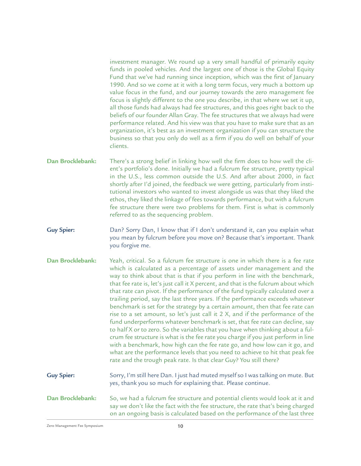investment manager. We round up a very small handful of primarily equity funds in pooled vehicles. And the largest one of those is the Global Equity Fund that we've had running since inception, which was the first of January 1990. And so we come at it with a long term focus, very much a bottom up value focus in the fund, and our journey towards the zero management fee focus is slightly different to the one you describe, in that where we set it up, all those funds had always had fee structures, and this goes right back to the beliefs of our founder Allan Gray. The fee structures that we always had were performance related. And his view was that you have to make sure that as an organization, it's best as an investment organization if you can structure the business so that you only do well as a firm if you do well on behalf of your clients.

- There's a strong belief in linking how well the firm does to how well the client's portfolio's done. Initially we had a fulcrum fee structure, pretty typical in the U.S., less common outside the U.S. And after about 2000, in fact shortly after I'd joined, the feedback we were getting, particularly from institutional investors who wanted to invest alongside us was that they liked the ethos, they liked the linkage of fees towards performance, but with a fulcrum fee structure there were two problems for them. First is what is commonly referred to as the sequencing problem. **Dan Brocklebank:**
- Dan? Sorry Dan, I know that if I don't understand it, can you explain what you mean by fulcrum before you move on? Because that's important. Thank you forgive me. **Guy Spier:**
- Yeah, critical. So a fulcrum fee structure is one in which there is a fee rate which is calculated as a percentage of assets under management and the way to think about that is that if you perform in line with the benchmark, that fee rate is, let's just call it X percent, and that is the fulcrum about which that rate can pivot. If the performance of the fund typically calculated over a trailing period, say the last three years. If the performance exceeds whatever benchmark is set for the strategy by a certain amount, then that fee rate can rise to a set amount, so let's just call it 2 X, and if the performance of the fund underperforms whatever benchmark is set, that fee rate can decline, say to half X or to zero. So the variables that you have when thinking about a fulcrum fee structure is what is the fee rate you charge if you just perform in line with a benchmark, how high can the fee rate go, and how low can it go, and what are the performance levels that you need to achieve to hit that peak fee rate and the trough peak rate. Is that clear Guy? You still there? **Dan Brocklebank:**
- Sorry, I'm still here Dan. I just had muted myself so I was talking on mute. But yes, thank you so much for explaining that. Please continue. **Guy Spier:**
- So, we had a fulcrum fee structure and potential clients would look at it and say we don't like the fact with the fee structure, the rate that's being charged on an ongoing basis is calculated based on the performance of the last three **Dan Brocklebank:**

Zero Management Fee Symposium and the state of  $10$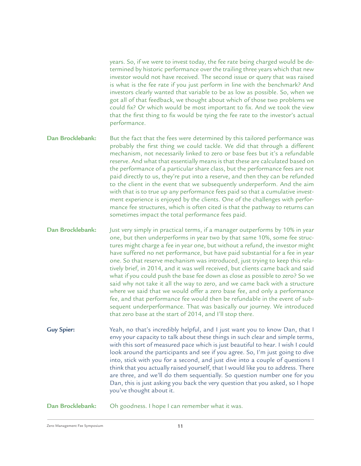years. So, if we were to invest today, the fee rate being charged would be determined by historic performance over the trailing three years which that new investor would not have received. The second issue or query that was raised is what is the fee rate if you just perform in line with the benchmark? And investors clearly wanted that variable to be as low as possible. So, when we got all of that feedback, we thought about which of those two problems we could fix? Or which would be most important to fix. And we took the view that the first thing to fix would be tying the fee rate to the investor's actual performance.

But the fact that the fees were determined by this tailored performance was probably the first thing we could tackle. We did that through a different mechanism, not necessarily linked to zero or base fees but it's a refundable reserve. And what that essentially means is that these are calculated based on the performance of a particular share class, but the performance fees are not paid directly to us, they're put into a reserve, and then they can be refunded to the client in the event that we subsequently underperform. And the aim with that is to true up any performance fees paid so that a cumulative investment experience is enjoyed by the clients. One of the challenges with performance fee structures, which is often cited is that the pathway to returns can sometimes impact the total performance fees paid. **Dan Brocklebank:**

Just very simply in practical terms, if a manager outperforms by 10% in year one, but then underperforms in year two by that same 10%, some fee structures might charge a fee in year one, but without a refund, the investor might have suffered no net performance, but have paid substantial for a fee in year one. So that reserve mechanism was introduced, just trying to keep this relatively brief, in 2014, and it was well received, but clients came back and said what if you could push the base fee down as close as possible to zero? So we said why not take it all the way to zero, and we came back with a structure where we said that we would offer a zero base fee, and only a performance fee, and that performance fee would then be refundable in the event of subsequent underperformance. That was basically our journey. We introduced that zero base at the start of 2014, and I'll stop there. **Dan Brocklebank:**

Yeah, no that's incredibly helpful, and I just want you to know Dan, that I envy your capacity to talk about these things in such clear and simple terms, with this sort of measured pace which is just beautiful to hear. I wish I could look around the participants and see if you agree. So, I'm just going to dive into, stick with you for a second, and just dive into a couple of questions I think that you actually raised yourself, that I would like you to address. There are three, and we'll do them sequentially. So question number one for you Dan, this is just asking you back the very question that you asked, so I hope you've thought about it. **Guy Spier:**

Oh goodness. I hope I can remember what it was. **Dan Brocklebank:**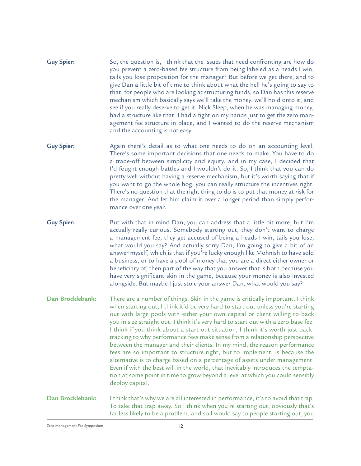- So, the question is, I think that the issues that need confronting are how do you prevent a zero-based fee structure from being labeled as a heads I win, tails you lose proposition for the manager? But before we get there, and to give Dan a little bit of time to think about what the hell he's going to say to that, for people who are looking at structuring funds, so Dan has this reserve mechanism which basically says we'll take the money, we'll hold onto it, and see if you really deserve to get it. Nick Sleep, when he was managing money, had a structure like that. I had a fight on my hands just to get the zero management fee structure in place, and I wanted to do the reserve mechanism and the accounting is not easy. **Guy Spier:**
- Again there's detail as to what one needs to do on an accounting level. There's some important decisions that one needs to make. You have to do a trade-off between simplicity and equity, and in my case, I decided that I'd fought enough battles and I wouldn't do it. So, I think that you can do pretty well without having a reserve mechanism, but it's worth saying that if you want to go the whole hog, you can really structure the incentives right. There's no question that the right thing to do is to put that money at risk for the manager. And let him claim it over a longer period than simply performance over one year. **Guy Spier:**
- But with that in mind Dan, you can address that a little bit more, but I'm actually really curious. Somebody starting out, they don't want to charge a management fee, they get accused of being a heads I win, tails you lose, what would you say? And actually sorry Dan, I'm going to give a bit of an answer myself, which is that if you're lucky enough like Mohnish to have sold a business, or to have a pool of money that you are a direct either owner or beneficiary of, then part of the way that you answer that is both because you have very significant skin in the game, because your money is also invested alongside. But maybe I just stole your answer Dan, what would you say? **Guy Spier:**
- There are a number of things. Skin in the game is critically important. I think when starting out, I think it'd be very hard to start out unless you're starting out with large pools with either your own capital or client willing to back you in size straight out. I think it's very hard to start out with a zero base fee. I think if you think about a start out situation, I think it's worth just backtracking to why performance fees make sense from a relationship perspective between the manager and their clients. In my mind, the reason performance fees are so important to structure right, but to implement, is because the alternative is to charge based on a percentage of assets under management. Even if with the best will in the world, that inevitably introduces the temptation at some point in time to grow beyond a level at which you could sensibly deploy capital. **Dan Brocklebank:**
- I think that's why we are all interested in performance, it's to avoid that trap. To take that trap away. So I think when you're starting out, obviously that's far less likely to be a problem, and so I would say to people starting out, you **Dan Brocklebank:**

Zero Management Fee Symposium and the control of the 12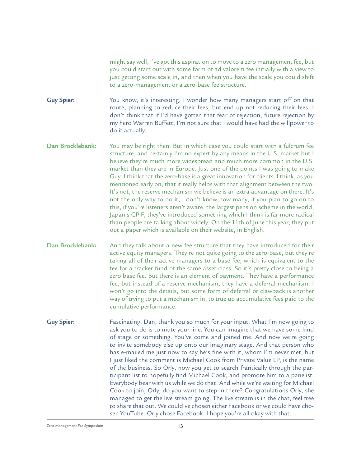might say well, I've got this aspiration to move to a zero management fee, but you could start out with some form of ad valorem fee initially with a view to just getting some scale in, and then when you have the scale you could shift to a zero-management or a zero-base fee structure.

You know, it's interesting, I wonder how many managers start off on that route, planning to reduce their fees, but end up not reducing their fees. I don't think that if I'd have gotten that fear of rejection, future rejection by my hero Warren Buffett, I'm not sure that I would have had the willpower to do it actually. **Guy Spier:**

You may be right then. But in which case you could start with a fulcrum fee structure, and certainly I'm no expert by any means in the U.S. market but I believe they're much more widespread and much more common in the U.S. market than they are in Europe. Just one of the points I was going to make Guy. I think that the zero-base is a great innovation for clients. I think, as you mentioned early on, that it really helps with that alignment between the two. It's not, the reserve mechanism we believe is an extra advantage on there. It's not the only way to do it, I don't know how many, if you plan to go on to this, if you're listeners aren't aware, the largest pension scheme in the world, Japan's GPIF, they've introduced something which I think is far more radical than people are talking about widely. On the 11th of June this year, they put out a paper which is available on their website, in English. **Dan Brocklebank:**

And they talk about a new fee structure that they have introduced for their active equity managers. They're not quite going to the zero-base, but they're taking all of their active managers to a base fee, which is equivalent to the fee for a tracker fund of the same asset class. So it's pretty close to being a zero base fee. But there is an element of payment. They have a performance fee, but instead of a reserve mechanism, they have a deferral mechanism. I won't go into the details, but some form of deferral or clawback is another way of trying to put a mechanism in, to true up accumulative fees paid to the cumulative performance. **Dan Brocklebank:**

Fascinating. Dan, thank you so much for your input. What I'm now going to ask you to do is to mute your line. You can imagine that we have some kind of stage or something. You've come and joined me. And now we're going to invite somebody else up onto our imaginary stage. And that person who has e-mailed me just now to say he's fine with it, whom I'm never met, but I just liked the comment is Michael Cook from Private Value LP, is the name of the business. So Orly, now you get to search frantically through the participant list to hopefully find Michael Cook, and promote him to a panelist. Everybody bear with us while we do that. And while we're waiting for Michael Cook to join, Orly, do you want to step in there? Congratulations Orly, she managed to get the live stream going. The live stream is in the chat, feel free to share that out. We could've chosen either Facebook or we could have chosen YouTube. Orly chose Facebook. I hope you're all okay with that. **Guy Spier:**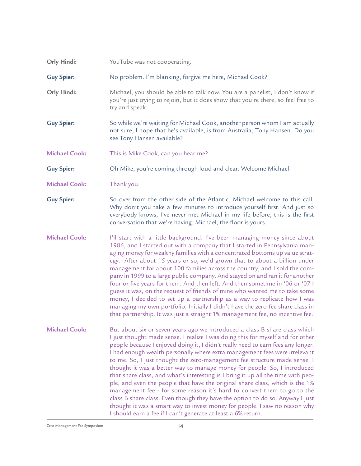| Orly Hindi:          | YouTube was not cooperating.                                                                                                                                                                                                                                                                                                                                                                                                                                                                                                                                                                                                                                                                                                                                                                                                                                                                                                                                           |
|----------------------|------------------------------------------------------------------------------------------------------------------------------------------------------------------------------------------------------------------------------------------------------------------------------------------------------------------------------------------------------------------------------------------------------------------------------------------------------------------------------------------------------------------------------------------------------------------------------------------------------------------------------------------------------------------------------------------------------------------------------------------------------------------------------------------------------------------------------------------------------------------------------------------------------------------------------------------------------------------------|
| <b>Guy Spier:</b>    | No problem. I'm blanking, forgive me here, Michael Cook?                                                                                                                                                                                                                                                                                                                                                                                                                                                                                                                                                                                                                                                                                                                                                                                                                                                                                                               |
| Orly Hindi:          | Michael, you should be able to talk now. You are a panelist, I don't know if<br>you're just trying to rejoin, but it does show that you're there, so feel free to<br>try and speak.                                                                                                                                                                                                                                                                                                                                                                                                                                                                                                                                                                                                                                                                                                                                                                                    |
| <b>Guy Spier:</b>    | So while we're waiting for Michael Cook, another person whom I am actually<br>not sure, I hope that he's available, is from Australia, Tony Hansen. Do you<br>see Tony Hansen available?                                                                                                                                                                                                                                                                                                                                                                                                                                                                                                                                                                                                                                                                                                                                                                               |
| <b>Michael Cook:</b> | This is Mike Cook, can you hear me?                                                                                                                                                                                                                                                                                                                                                                                                                                                                                                                                                                                                                                                                                                                                                                                                                                                                                                                                    |
| <b>Guy Spier:</b>    | Oh Mike, you're coming through loud and clear. Welcome Michael.                                                                                                                                                                                                                                                                                                                                                                                                                                                                                                                                                                                                                                                                                                                                                                                                                                                                                                        |
| <b>Michael Cook:</b> | Thank you.                                                                                                                                                                                                                                                                                                                                                                                                                                                                                                                                                                                                                                                                                                                                                                                                                                                                                                                                                             |
| <b>Guy Spier:</b>    | So over from the other side of the Atlantic, Michael welcome to this call.<br>Why don't you take a few minutes to introduce yourself first. And just so<br>everybody knows, I've never met Michael in my life before, this is the first<br>conversation that we're having. Michael, the floor is yours.                                                                                                                                                                                                                                                                                                                                                                                                                                                                                                                                                                                                                                                                |
| <b>Michael Cook:</b> | I'll start with a little background. I've been managing money since about<br>1986, and I started out with a company that I started in Pennsylvania man-<br>aging money for wealthy families with a concentrated bottoms up value strat-<br>egy. After about 15 years or so, we'd grown that to about a billion under<br>management for about 100 families across the country, and I sold the com-<br>pany in 1999 to a large public company. And stayed on and ran it for another<br>four or five years for them. And then left. And then sometime in '06 or '07 I<br>guess it was, on the request of friends of mine who wanted me to take some<br>money, I decided to set up a partnership as a way to replicate how I was<br>managing my own portfolio. Initially I didn't have the zero-fee share class in<br>that partnership. It was just a straight 1% management fee, no incentive fee.                                                                        |
| <b>Michael Cook:</b> | But about six or seven years ago we introduced a class B share class which<br>I just thought made sense. I realize I was doing this for myself and for other<br>people because I enjoyed doing it, I didn't really need to earn fees any longer.<br>I had enough wealth personally where extra management fees were irrelevant<br>to me. So, I just thought the zero-management fee structure made sense. I<br>thought it was a better way to manage money for people. So, I introduced<br>that share class, and what's interesting is I bring it up all the time with peo-<br>ple, and even the people that have the original share class, which is the 1%<br>management fee - for some reason it's hard to convert them to go to the<br>class B share class. Even though they have the option to do so. Anyway I just<br>thought it was a smart way to invest money for people. I saw no reason why<br>I should earn a fee if I can't generate at least a 6% return. |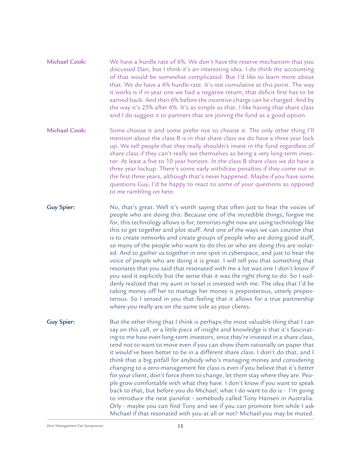- We have a hurdle rate of 6%. We don't have the reserve mechanism that you discussed Dan, but I think it's an interesting idea. I do think the accounting of that would be somewhat complicated. But I'd like to learn more about that. We do have a 6% hurdle rate. It's not cumulative at this point. The way it works is if in year one we had a negative return, that deficit first has to be earned back. And then 6% before the incentive charge can be charged. And by the way it's 25% after 6%. It's as simple as that. I like having that share class and I do suggest it to partners that are joining the fund as a good option. **Michael Cook:**
- Some choose it and some prefer not to choose it. The only other thing I'll mention about the class B is in that share class we do have a three year lock up. We tell people that they really shouldn't invest in the fund regardless of share class if they can't really see themselves as being a very long-term investor. At least a five to 10 year horizon. In the class B share class we do have a three year lockup. There's some early withdraw penalties if they come out in the first three years, although that's never happened. Maybe if you have some questions Guy, I'd be happy to react to some of your questions as opposed to me rambling on here. **Michael Cook:**
- No, that's great. Well it's worth saying that often just to hear the voices of people who are doing this. Because one of the incredible things, forgive me for, this technology allows is for, terrorists right now are using technology like this to get together and plot stuff. And one of the ways we can counter that is to create networks and create groups of people who are doing good stuff, so many of the people who want to do this or who are doing this are isolated. And to gather us together in one spot in cyberspace, and just to hear the voice of people who are doing it is great. I will tell you that something that resonates that you said that resonated with me a lot was one I don't know if you said it explicitly but the sense that it was the right thing to do. So I suddenly realized that my aunt in Israel is invested with me. The idea that I'd be taking money off her to manage her money is preposterous, utterly preposterous. So I sensed in you that feeling that it allows for a true partnership where you really are on the same side as your clients. **Guy Spier:**
- But the other thing that I think is perhaps the most valuable thing that I can say on this call, or a little piece of insight and knowledge is that it's fascinating to me how even long-term investors, once they're invested in a share class, tend not to want to move even if you can show them rationally on paper that it would've been better to be in a different share class. I don't do that, and I think that a big pitfall for anybody who's managing money and considering changing to a zero-management fee class is even if you believe that it's better for your client, don't force them to change, let them stay where they are. People grow comfortable with what they have. I don't know if you want to speak back to that, but before you do Michael, what I do want to do is - I'm going to introduce the next panelist - somebody called Tony Hansen in Australia. Orly - maybe you can find Tony and see if you can promote him while I ask Michael if that resonated with you at all or not? Michael you may be muted. **Guy Spier:**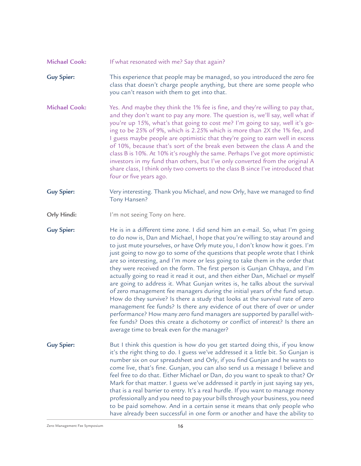## If what resonated with me? Say that again? **Michael Cook:**

- This experience that people may be managed, so you introduced the zero fee class that doesn't charge people anything, but there are some people who you can't reason with them to get into that. **Guy Spier:**
- Yes. And maybe they think the 1% fee is fine, and they're willing to pay that, and they don't want to pay any more. The question is, we'll say, well what if you're up 15%, what's that going to cost me? I'm going to say, well it's going to be 25% of 9%, which is 2.25% which is more than 2X the 1% fee, and I guess maybe people are optimistic that they're going to earn well in excess of 10%, because that's sort of the break even between the class A and the class B is 10%. At 10% it's roughly the same. Perhaps I've got more optimistic investors in my fund than others, but I've only converted from the original A share class, I think only two converts to the class B since I've introduced that four or five years ago. **Michael Cook:**
- Very interesting. Thank you Michael, and now Orly, have we managed to find Tony Hansen? **Guy Spier:**
- I'm not seeing Tony on here. **Orly Hindi:**

He is in a different time zone. I did send him an e-mail. So, what I'm going to do now is, Dan and Michael, I hope that you're willing to stay around and to just mute yourselves, or have Orly mute you, I don't know how it goes. I'm just going to now go to some of the questions that people wrote that I think are so interesting, and I'm more or less going to take them in the order that they were received on the form. The first person is Gunjan Chhaya, and I'm actually going to read it read it out, and then either Dan, Michael or myself are going to address it. What Gunjan writes is, he talks about the survival of zero management fee managers during the initial years of the fund setup. How do they survive? Is there a study that looks at the survival rate of zero management fee funds? Is there any evidence of out there of over or under performance? How many zero fund managers are supported by parallel withfee funds? Does this create a dichotomy or conflict of interest? Is there an average time to break even for the manager? **Guy Spier:**

But I think this question is how do you get started doing this, if you know it's the right thing to do. I guess we've addressed it a little bit. So Gunjan is number six on our spreadsheet and Orly, if you find Gunjan and he wants to come live, that's fine. Gunjan, you can also send us a message I believe and feel free to do that. Either Michael or Dan, do you want to speak to that? Or Mark for that matter. I guess we've addressed it partly in just saying say yes, that is a real barrier to entry. It's a real hurdle. If you want to manage money professionally and you need to pay your bills through your business, you need to be paid somehow. And in a certain sense it means that only people who have already been successful in one form or another and have the ability to **Guy Spier:**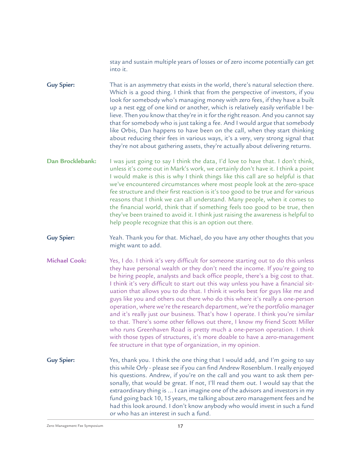stay and sustain multiple years of losses or of zero income potentially can get into it.

That is an asymmetry that exists in the world, there's natural selection there. Which is a good thing. I think that from the perspective of investors, if you look for somebody who's managing money with zero fees, if they have a built up a nest egg of one kind or another, which is relatively easily verifiable I believe. Then you know that they're in it for the right reason. And you cannot say that for somebody who is just taking a fee. And I would argue that somebody like Orbis, Dan happens to have been on the call, when they start thinking about reducing their fees in various ways, it's a very, very strong signal that they're not about gathering assets, they're actually about delivering returns. **Guy Spier:**

- I was just going to say I think the data, I'd love to have that. I don't think, unless it's come out in Mark's work, we certainly don't have it. I think a point I would make is this is why I think things like this call are so helpful is that we've encountered circumstances where most people look at the zero-space fee structure and their first reaction is it's too good to be true and for various reasons that I think we can all understand. Many people, when it comes to the financial world, think that if something feels too good to be true, then they've been trained to avoid it. I think just raising the awareness is helpful to help people recognize that this is an option out there. **Dan Brocklebank:**
- Yeah. Thank you for that. Michael, do you have any other thoughts that you might want to add. **Guy Spier:**
- Yes, I do. I think it's very difficult for someone starting out to do this unless they have personal wealth or they don't need the income. If you're going to be hiring people, analysts and back office people, there's a big cost to that. I think it's very difficult to start out this way unless you have a financial situation that allows you to do that. I think it works best for guys like me and guys like you and others out there who do this where it's really a one-person operation, where we're the research department, we're the portfolio manager and it's really just our business. That's how I operate. I think you're similar to that. There's some other fellows out there, I know my friend Scott Miller who runs Greenhaven Road is pretty much a one-person operation. I think with those types of structures, it's more doable to have a zero-management fee structure in that type of organization, in my opinion. **Michael Cook:**
- Yes, thank you. I think the one thing that I would add, and I'm going to say this while Orly - please see if you can find Andrew Rosenblum. I really enjoyed his questions. Andrew, if you're on the call and you want to ask them personally, that would be great. If not, I'll read them out. I would say that the extraordinary thing is ... I can imagine one of the advisors and investors in my fund going back 10, 15 years, me talking about zero management fees and he had this look around. I don't know anybody who would invest in such a fund or who has an interest in such a fund. **Guy Spier:**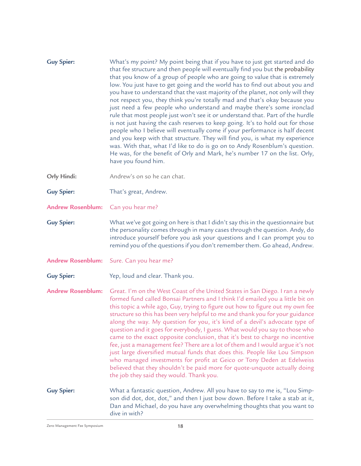| <b>Guy Spier:</b>        | What's my point? My point being that if you have to just get started and do<br>that fee structure and then people will eventually find you but the probability<br>that you know of a group of people who are going to value that is extremely<br>low. You just have to get going and the world has to find out about you and<br>you have to understand that the vast majority of the planet, not only will they<br>not respect you, they think you're totally mad and that's okay because you<br>just need a few people who understand and maybe there's some ironclad<br>rule that most people just won't see it or understand that. Part of the hurdle<br>is not just having the cash reserves to keep going. It's to hold out for those<br>people who I believe will eventually come if your performance is half decent<br>and you keep with that structure. They will find you, is what my experience<br>was. With that, what I'd like to do is go on to Andy Rosenblum's question.<br>He was, for the benefit of Orly and Mark, he's number 17 on the list. Orly,<br>have you found him. |
|--------------------------|-----------------------------------------------------------------------------------------------------------------------------------------------------------------------------------------------------------------------------------------------------------------------------------------------------------------------------------------------------------------------------------------------------------------------------------------------------------------------------------------------------------------------------------------------------------------------------------------------------------------------------------------------------------------------------------------------------------------------------------------------------------------------------------------------------------------------------------------------------------------------------------------------------------------------------------------------------------------------------------------------------------------------------------------------------------------------------------------------|
| Orly Hindi:              | Andrew's on so he can chat.                                                                                                                                                                                                                                                                                                                                                                                                                                                                                                                                                                                                                                                                                                                                                                                                                                                                                                                                                                                                                                                                   |
| <b>Guy Spier:</b>        | That's great, Andrew.                                                                                                                                                                                                                                                                                                                                                                                                                                                                                                                                                                                                                                                                                                                                                                                                                                                                                                                                                                                                                                                                         |
| <b>Andrew Rosenblum:</b> | Can you hear me?                                                                                                                                                                                                                                                                                                                                                                                                                                                                                                                                                                                                                                                                                                                                                                                                                                                                                                                                                                                                                                                                              |
| <b>Guy Spier:</b>        | What we've got going on here is that I didn't say this in the questionnaire but<br>the personality comes through in many cases through the question. Andy, do<br>introduce yourself before you ask your questions and I can prompt you to<br>remind you of the questions if you don't remember them. Go ahead, Andrew.                                                                                                                                                                                                                                                                                                                                                                                                                                                                                                                                                                                                                                                                                                                                                                        |
| <b>Andrew Rosenblum:</b> | Sure. Can you hear me?                                                                                                                                                                                                                                                                                                                                                                                                                                                                                                                                                                                                                                                                                                                                                                                                                                                                                                                                                                                                                                                                        |
| <b>Guy Spier:</b>        | Yep, loud and clear. Thank you.                                                                                                                                                                                                                                                                                                                                                                                                                                                                                                                                                                                                                                                                                                                                                                                                                                                                                                                                                                                                                                                               |
| <b>Andrew Rosenblum:</b> | Great. I'm on the West Coast of the United States in San Diego. I ran a newly<br>formed fund called Bonsai Partners and I think I'd emailed you a little bit on<br>this topic a while ago, Guy, trying to figure out how to figure out my own fee<br>structure so this has been very helpful to me and thank you for your guidance<br>along the way. My question for you, it's kind of a devil's advocate type of<br>question and it goes for everybody, I guess. What would you say to those who<br>came to the exact opposite conclusion, that it's best to charge no incentive<br>fee, just a management fee? There are a lot of them and I would argue it's not<br>just large diversified mutual funds that does this. People like Lou Simpson<br>who managed investments for profit at Geico or Tony Deden at Edelweiss<br>believed that they shouldn't be paid more for quote-unquote actually doing<br>the job they said they would. Thank you.                                                                                                                                        |
| <b>Guy Spier:</b>        | What a fantastic question, Andrew. All you have to say to me is, "Lou Simp-<br>son did dot, dot, dot," and then I just bow down. Before I take a stab at it,<br>Dan and Michael, do you have any overwhelming thoughts that you want to<br>dive in with?                                                                                                                                                                                                                                                                                                                                                                                                                                                                                                                                                                                                                                                                                                                                                                                                                                      |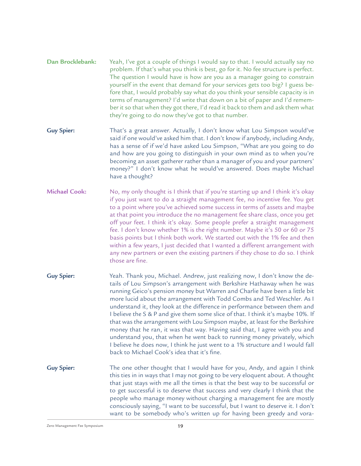- Yeah, I've got a couple of things I would say to that. I would actually say no problem. If that's what you think is best, go for it. No fee structure is perfect. The question I would have is how are you as a manager going to constrain yourself in the event that demand for your services gets too big? I guess before that, I would probably say what do you think your sensible capacity is in terms of management? I'd write that down on a bit of paper and I'd remember it so that when they got there, I'd read it back to them and ask them what they're going to do now they've got to that number. **Dan Brocklebank:**
- That's a great answer. Actually, I don't know what Lou Simpson would've said if one would've asked him that. I don't know if anybody, including Andy, has a sense of if we'd have asked Lou Simpson, "What are you going to do and how are you going to distinguish in your own mind as to when you're becoming an asset gatherer rather than a manager of you and your partners' money?" I don't know what he would've answered. Does maybe Michael have a thought? **Guy Spier:**
- No, my only thought is I think that if you're starting up and I think it's okay if you just want to do a straight management fee, no incentive fee. You get to a point where you've achieved some success in terms of assets and maybe at that point you introduce the no management fee share class, once you get off your feet. I think it's okay. Some people prefer a straight management fee. I don't know whether 1% is the right number. Maybe it's 50 or 60 or 75 basis points but I think both work. We started out with the 1% fee and then within a few years, I just decided that I wanted a different arrangement with any new partners or even the existing partners if they chose to do so. I think those are fine. **Michael Cook:**
- Yeah. Thank you, Michael. Andrew, just realizing now, I don't know the details of Lou Simpson's arrangement with Berkshire Hathaway when he was running Geico's pension money but Warren and Charlie have been a little bit more lucid about the arrangement with Todd Combs and Ted Weschler. As I understand it, they look at the difference in performance between them and I believe the S & P and give them some slice of that. I think it's maybe 10%. If that was the arrangement with Lou Simpson maybe, at least for the Berkshire money that he ran, it was that way. Having said that, I agree with you and understand you, that when he went back to running money privately, which I believe he does now, I think he just went to a 1% structure and I would fall back to Michael Cook's idea that it's fine. **Guy Spier:**
- The one other thought that I would have for you, Andy, and again I think this ties in in ways that I may not going to be very eloquent about. A thought that just stays with me all the times is that the best way to be successful or to get successful is to deserve that success and very clearly I think that the people who manage money without charging a management fee are mostly consciously saying, "I want to be successful, but I want to deserve it. I don't want to be somebody who's written up for having been greedy and vora-**Guy Spier:**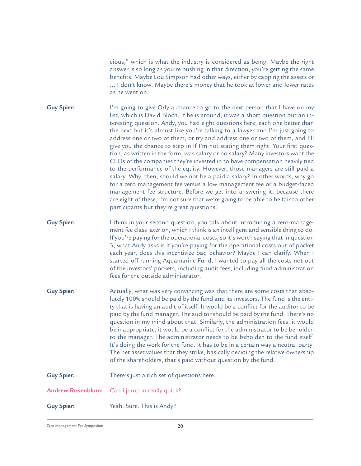cious," which is what the industry is considered as being. Maybe the right answer is so long as you're pushing in that direction, you're getting the same benefits. Maybe Lou Simpson had other ways, either by capping the assets or ... I don't know. Maybe there's money that he took at lower and lower rates as he went on.

- I'm going to give Orly a chance to go to the next person that I have on my list, which is David Bloch. If he is around, it was a short question but an interesting question. Andy, you had eight questions here, each one better than the next but it's almost like you're talking to a lawyer and I'm just going to address one or two of them, or try and address one or two of them, and I'll give you the chance to step in if I'm not stating them right. Your first question, as written in the form, was salary or no salary? Many investors want the CEOs of the companies they're invested in to have compensation heavily tied to the performance of the equity. However, those managers are still paid a salary. Why, then, should we not be a paid a salary? In other words, why go for a zero management fee versus a low management fee or a budget-faced management fee structure. Before we get into answering it, because there are eight of these, I'm not sure that we're going to be able to be fair to other participants but they're great questions. **Guy Spier:**
- I think in your second question, you talk about introducing a zero-management fee class later on, which I think is an intelligent and sensible thing to do. If you're paying for the operational costs, so it's worth saying that in question 3, what Andy asks is if you're paying for the operational costs out of pocket each year, does this incentivize bad behavior? Maybe I can clarify. When I started off running Aquamarine Fund, I wanted to pay all the costs not out of the investors' pockets, including audit fees, including fund administration fees for the outside administrator. **Guy Spier:**
- Actually, what was very convincing was that there are some costs that absolutely 100% should be paid by the fund and its investors. The fund is the entity that is having an audit of itself. It would be a conflict for the auditor to be paid by the fund manager. The auditor should be paid by the fund. There's no question in my mind about that. Similarly, the administration fees, it would be inappropriate, it would be a conflict for the administrator to be beholden to the manager. The administrator needs to be beholden to the fund itself. It's doing the work for the fund. It has to be in a certain way a neutral party. The net asset values that they strike, basically deciding the relative ownership of the shareholders, that's paid without question by the fund. **Guy Spier:**

| <b>Guy Spier:</b> | There's just a rich set of questions here.           |
|-------------------|------------------------------------------------------|
|                   | <b>Andrew Rosenblum:</b> Can I jump in really quick? |
| <b>Guy Spier:</b> | Yeah. Sure. This is Andy?                            |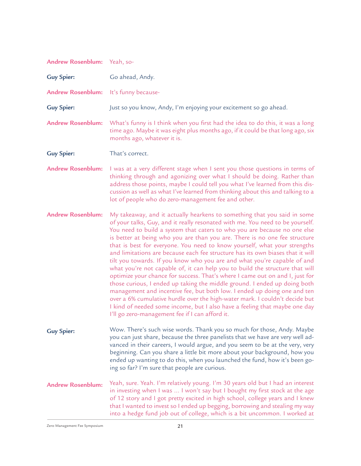## Yeah, so-Go ahead, Andy. It's funny because-Just so you know, Andy, I'm enjoying your excitement so go ahead. What's funny is I think when you first had the idea to do this, it was a long time ago. Maybe it was eight plus months ago, if it could be that long ago, six months ago, whatever it is. That's correct. I was at a very different stage when I sent you those questions in terms of thinking through and agonizing over what I should be doing. Rather than address those points, maybe I could tell you what I've learned from this discussion as well as what I've learned from thinking about this and talking to a lot of people who do zero-management fee and other. My takeaway, and it actually hearkens to something that you said in some of your talks, Guy, and it really resonated with me. You need to be yourself. You need to build a system that caters to who you are because no one else is better at being who you are than you are. There is no one fee structure that is best for everyone. You need to know yourself, what your strengths and limitations are because each fee structure has its own biases that it will tilt you towards. If you know who you are and what you're capable of and what you're not capable of, it can help you to build the structure that will optimize your chance for success. That's where I came out on and I, just for those curious, I ended up taking the middle ground. I ended up doing both management and incentive fee, but both low. I ended up doing one and ten over a 6% cumulative hurdle over the high-water mark. I couldn't decide but I kind of needed some income, but I also have a feeling that maybe one day I'll go zero-management fee if I can afford it. Wow. There's such wise words. Thank you so much for those, Andy. Maybe you can just share, because the three panelists that we have are very well advanced in their careers, I would argue, and you seem to be at the very, very beginning. Can you share a little bit more about your background, how you ended up wanting to do this, when you launched the fund, how it's been going so far? I'm sure that people are curious. Yeah, sure. Yeah. I'm relatively young. I'm 30 years old but I had an interest in investing when I was ... I won't say but I bought my first stock at the age of 12 story and I got pretty excited in high school, college years and I knew that I wanted to invest so I ended up begging, borrowing and stealing my way into a hedge fund job out of college, which is a bit uncommon. I worked at **Andrew Rosenblum: Guy Spier: Andrew Rosenblum: Guy Spier: Andrew Rosenblum: Guy Spier: Andrew Rosenblum: Andrew Rosenblum: Guy Spier: Andrew Rosenblum:**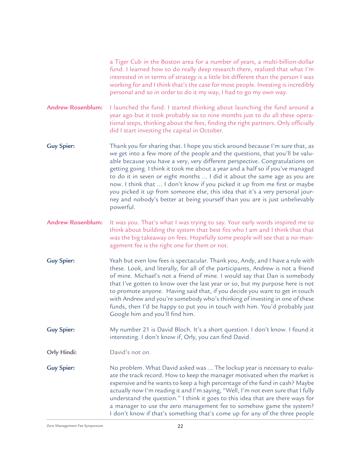a Tiger Cub in the Boston area for a number of years, a multi-billion-dollar fund. I learned how to do really deep research there, realized that what I'm interested in in terms of strategy is a little bit different than the person I was working for and I think that's the case for most people. Investing is incredibly personal and so in order to do it my way, I had to go my own way.

I launched the fund. I started thinking about launching the fund around a year ago but it took probably six to nine months just to do all these operational steps, thinking about the fees, finding the right partners. Only officially did I start investing the capital in October. **Andrew Rosenblum:**

Thank you for sharing that. I hope you stick around because I'm sure that, as we get into a few more of the people and the questions, that you'll be valuable because you have a very, very different perspective. Congratulations on getting going. I think it took me about a year and a half so if you've managed to do it in seven or eight months ... I did it about the same age as you are now. I think that ... I don't know if you picked it up from me first or maybe you picked it up from someone else, this idea that it's a very personal journey and nobody's better at being yourself than you are is just unbelievably powerful. **Guy Spier:**

It was you. That's what I was trying to say. Your early words inspired me to think about building the system that best fits who I am and I think that that was the big takeaway on fees. Hopefully some people will see that a no-management fee is the right one for them or not. **Andrew Rosenblum:**

Yeah but even low fees is spectacular. Thank you, Andy, and I have a rule with these. Look, and literally, for all of the participants, Andrew is not a friend of mine. Michael's not a friend of mine. I would say that Dan is somebody that I've gotten to know over the last year or so, but my purpose here is not to promote anyone. Having said that, if you decide you want to get in touch with Andrew and you're somebody who's thinking of investing in one of these funds, then I'd be happy to put you in touch with him. You'd probably just Google him and you'll find him. **Guy Spier:**

My number 21 is David Bloch. It's a short question. I don't know. I found it interesting. I don't know if, Orly, you can find David. **Guy Spier:**

David's not on. **Orly Hindi:**

No problem. What David asked was ... The lockup year is necessary to evaluate the track record. How to keep the manager motivated when the market is expensive and he wants to keep a high percentage of the fund in cash? Maybe actually now I'm reading it and I'm saying, "Well, I'm not even sure that I fully understand the question." I think it goes to this idea that are there ways for a manager to use the zero management fee to somehow game the system? I don't know if that's something that's come up for any of the three people **Guy Spier:**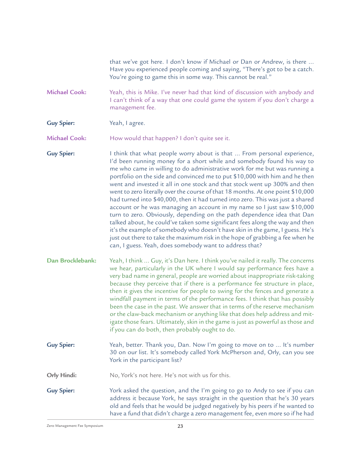that we've got here. I don't know if Michael or Dan or Andrew, is there ... Have you experienced people coming and saying, "There's got to be a catch. You're going to game this in some way. This cannot be real."

Yeah, this is Mike. I've never had that kind of discussion with anybody and I can't think of a way that one could game the system if you don't charge a management fee. **Michael Cook:**

Yeah, I agree. **Guy Spier:**

How would that happen? I don't quite see it. **Michael Cook:**

I think that what people worry about is that ... From personal experience, I'd been running money for a short while and somebody found his way to me who came in willing to do administrative work for me but was running a portfolio on the side and convinced me to put \$10,000 with him and he then went and invested it all in one stock and that stock went up 300% and then went to zero literally over the course of that 18 months. At one point \$10,000 had turned into \$40,000, then it had turned into zero. This was just a shared account or he was managing an account in my name so I just saw \$10,000 turn to zero. Obviously, depending on the path dependence idea that Dan talked about, he could've taken some significant fees along the way and then it's the example of somebody who doesn't have skin in the game, I guess. He's just out there to take the maximum risk in the hope of grabbing a fee when he can, I guess. Yeah, does somebody want to address that? **Guy Spier:**

Yeah, I think ... Guy, it's Dan here. I think you've nailed it really. The concerns we hear, particularly in the UK where I would say performance fees have a very bad name in general, people are worried about inappropriate risk-taking because they perceive that if there is a performance fee structure in place, then it gives the incentive for people to swing for the fences and generate a windfall payment in terms of the performance fees. I think that has possibly been the case in the past. We answer that in terms of the reserve mechanism or the claw-back mechanism or anything like that does help address and mitigate those fears. Ultimately, skin in the game is just as powerful as those and if you can do both, then probably ought to do. **Dan Brocklebank:**

Yeah, better. Thank you, Dan. Now I'm going to move on to ... It's number 30 on our list. It's somebody called York McPherson and, Orly, can you see York in the participant list? **Guy Spier:**

No, York's not here. He's not with us for this. **Orly Hindi:**

York asked the question, and the I'm going to go to Andy to see if you can address it because York, he says straight in the question that he's 30 years old and feels that he would be judged negatively by his peers if he wanted to have a fund that didn't charge a zero management fee, even more so if he had **Guy Spier:**

Zero Management Fee Symposium and the control of the 23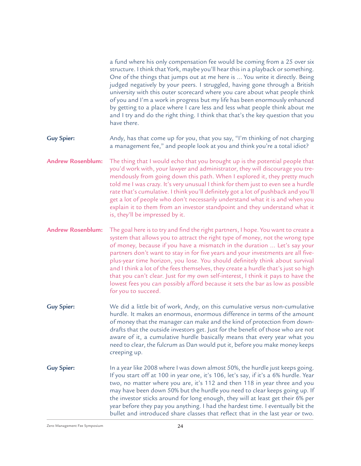a fund where his only compensation fee would be coming from a 25 over six structure. I think that York, maybe you'll hear this in a playback or something. One of the things that jumps out at me here is ... You write it directly. Being judged negatively by your peers. I struggled, having gone through a British university with this outer scorecard where you care about what people think of you and I'm a work in progress but my life has been enormously enhanced by getting to a place where I care less and less what people think about me and I try and do the right thing. I think that that's the key question that you have there.

- Andy, has that come up for you, that you say, "I'm thinking of not charging a management fee," and people look at you and think you're a total idiot? **Guy Spier:**
- The thing that I would echo that you brought up is the potential people that you'd work with, your lawyer and administrator, they will discourage you tremendously from going down this path. When I explored it, they pretty much told me I was crazy. It's very unusual I think for them just to even see a hurdle rate that's cumulative. I think you'll definitely got a lot of pushback and you'll get a lot of people who don't necessarily understand what it is and when you explain it to them from an investor standpoint and they understand what it is, they'll be impressed by it. **Andrew Rosenblum:**
- The goal here is to try and find the right partners, I hope. You want to create a system that allows you to attract the right type of money, not the wrong type of money, because if you have a mismatch in the duration ... Let's say your partners don't want to stay in for five years and your investments are all fiveplus-year time horizon, you lose. You should definitely think about survival and I think a lot of the fees themselves, they create a hurdle that's just so high that you can't clear. Just for my own self-interest, I think it pays to have the lowest fees you can possibly afford because it sets the bar as low as possible for you to succeed. **Andrew Rosenblum:**
- We did a little bit of work, Andy, on this cumulative versus non-cumulative hurdle. It makes an enormous, enormous difference in terms of the amount of money that the manager can make and the kind of protection from downdrafts that the outside investors get. Just for the benefit of those who are not aware of it, a cumulative hurdle basically means that every year what you need to clear, the fulcrum as Dan would put it, before you make money keeps creeping up. **Guy Spier:**
- In a year like 2008 where I was down almost 50%, the hurdle just keeps going. If you start off at 100 in year one, it's 106, let's say, if it's a 6% hurdle. Year two, no matter where you are, it's 112 and then 118 in year three and you may have been down 50% but the hurdle you need to clear keeps going up. If the investor sticks around for long enough, they will at least get their 6% per year before they pay you anything. I had the hardest time. I eventually bit the bullet and introduced share classes that reflect that in the last year or two. **Guy Spier:**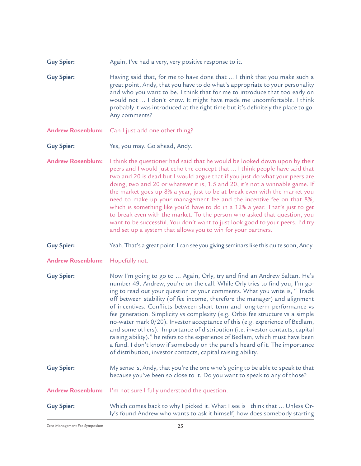- Again, I've had a very, very positive response to it. **Guy Spier:**
- Having said that, for me to have done that ... I think that you make such a great point, Andy, that you have to do what's appropriate to your personality and who you want to be. I think that for me to introduce that too early on would not ... I don't know. It might have made me uncomfortable. I think probably it was introduced at the right time but it's definitely the place to go. Any comments? **Guy Spier:**
- Can I just add one other thing? **Andrew Rosenblum:**
- Yes, you may. Go ahead, Andy. **Guy Spier:**
- I think the questioner had said that he would be looked down upon by their peers and I would just echo the concept that ... I think people have said that two and 20 is dead but I would argue that if you just do what your peers are doing, two and 20 or whatever it is, 1.5 and 20, it's not a winnable game. If the market goes up 8% a year, just to be at break even with the market you need to make up your management fee and the incentive fee on that 8%, which is something like you'd have to do in a 12% a year. That's just to get to break even with the market. To the person who asked that question, you want to be successful. You don't want to just look good to your peers. I'd try and set up a system that allows you to win for your partners. **Andrew Rosenblum:**
- Yeah. That's a great point. I can see you giving seminars like this quite soon, Andy. **Guy Spier:**
- Hopefully not. **Andrew Rosenblum:**
- Now I'm going to go to ... Again, Orly, try and find an Andrew Saltan. He's number 49. Andrew, you're on the call. While Orly tries to find you, I'm going to read out your question or your comments. What you write is, " Trade off between stability (of fee income, therefore the manager) and alignment of incentives. Conflicts between short term and long-term performance vs fee generation. Simplicity vs complexity (e.g. Orbis fee structure vs a simple no-water mark 0/20). Investor acceptance of this (e.g. experience of Bedlam, and some others). Importance of distribution (i.e. investor contacts, capital raising ability)." he refers to the experience of Bedlam, which must have been a fund. I don't know if somebody on the panel's heard of it. The importance of distribution, investor contacts, capital raising ability. **Guy Spier:**
- My sense is, Andy, that you're the one who's going to be able to speak to that because you've been so close to it. Do you want to speak to any of those? **Guy Spier:**
- I'm not sure I fully understood the question. **Andrew Rosenblum:**
- Which comes back to why I picked it. What I see is I think that ... Unless Orly's found Andrew who wants to ask it himself, how does somebody starting **Guy Spier:**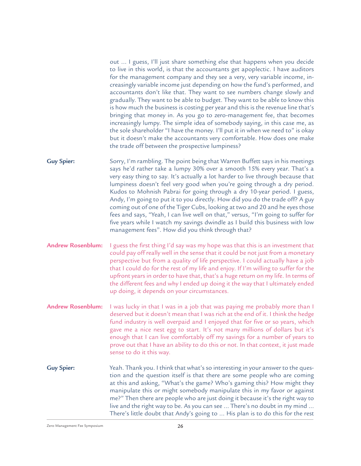out ... I guess, I'll just share something else that happens when you decide to live in this world, is that the accountants get apoplectic. I have auditors for the management company and they see a very, very variable income, increasingly variable income just depending on how the fund's performed, and accountants don't like that. They want to see numbers change slowly and gradually. They want to be able to budget. They want to be able to know this is how much the business is costing per year and this is the revenue line that's bringing that money in. As you go to zero-management fee, that becomes increasingly lumpy. The simple idea of somebody saying, in this case me, as the sole shareholder "I have the money. I'll put it in when we need to" is okay but it doesn't make the accountants very comfortable. How does one make the trade off between the prospective lumpiness?

- Sorry, I'm rambling. The point being that Warren Buffett says in his meetings says he'd rather take a lumpy 30% over a smooth 15% every year. That's a very easy thing to say. It's actually a lot harder to live through because that lumpiness doesn't feel very good when you're going through a dry period. Kudos to Mohnish Pabrai for going through a dry 10-year period. I guess, Andy, I'm going to put it to you directly. How did you do the trade off? A guy coming out of one of the Tiger Cubs, looking at two and 20 and he eyes those fees and says, "Yeah, I can live well on that," versus, "I'm going to suffer for five years while I watch my savings dwindle as I build this business with low management fees". How did you think through that? **Guy Spier:**
- I guess the first thing I'd say was my hope was that this is an investment that could pay off really well in the sense that it could be not just from a monetary perspective but from a quality of life perspective. I could actually have a job that I could do for the rest of my life and enjoy. If I'm willing to suffer for the upfront years in order to have that, that's a huge return on my life. In terms of the different fees and why I ended up doing it the way that I ultimately ended up doing, it depends on your circumstances. **Andrew Rosenblum:**
- I was lucky in that I was in a job that was paying me probably more than I deserved but it doesn't mean that I was rich at the end of it. I think the hedge fund industry is well overpaid and I enjoyed that for five or so years, which gave me a nice nest egg to start. It's not many millions of dollars but it's enough that I can live comfortably off my savings for a number of years to prove out that I have an ability to do this or not. In that context, it just made sense to do it this way. **Andrew Rosenblum:**
- Yeah. Thank you. I think that what's so interesting in your answer to the question and the question itself is that there are some people who are coming at this and asking, "What's the game? Who's gaming this? How might they manipulate this or might somebody manipulate this in my favor or against me?" Then there are people who are just doing it because it's the right way to live and the right way to be. As you can see ... There's no doubt in my mind ... There's little doubt that Andy's going to ... His plan is to do this for the rest **Guy Spier:**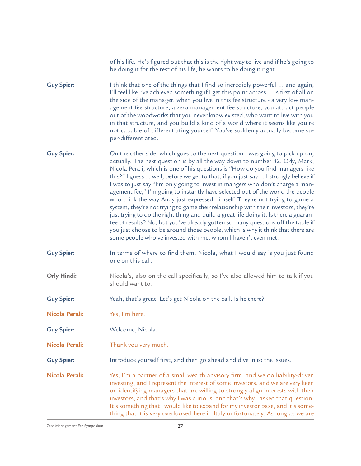|                   | of his life. He's figured out that this is the right way to live and if he's going to<br>be doing it for the rest of his life, he wants to be doing it right.                                                                                                                                                                                                                                                                                                                                                                                                                                                                                                                                                                                                                                                                                                                                                                                                                                                     |
|-------------------|-------------------------------------------------------------------------------------------------------------------------------------------------------------------------------------------------------------------------------------------------------------------------------------------------------------------------------------------------------------------------------------------------------------------------------------------------------------------------------------------------------------------------------------------------------------------------------------------------------------------------------------------------------------------------------------------------------------------------------------------------------------------------------------------------------------------------------------------------------------------------------------------------------------------------------------------------------------------------------------------------------------------|
| <b>Guy Spier:</b> | I think that one of the things that I find so incredibly powerful  and again,<br>I'll feel like I've achieved something if I get this point across  is first of all on<br>the side of the manager, when you live in this fee structure - a very low man-<br>agement fee structure, a zero management fee structure, you attract people<br>out of the woodworks that you never know existed, who want to live with you<br>in that structure, and you build a kind of a world where it seems like you're<br>not capable of differentiating yourself. You've suddenly actually become su-<br>per-differentiated.                                                                                                                                                                                                                                                                                                                                                                                                     |
| <b>Guy Spier:</b> | On the other side, which goes to the next question I was going to pick up on,<br>actually. The next question is by all the way down to number 82, Orly, Mark,<br>Nicola Perali, which is one of his questions is "How do you find managers like<br>this?" I guess  well, before we get to that, if you just say  I strongly believe if<br>I was to just say "I'm only going to invest in mangers who don't charge a man-<br>agement fee," I'm going to instantly have selected out of the world the people<br>who think the way Andy just expressed himself. They're not trying to game a<br>system, they're not trying to game their relationship with their investors, they're<br>just trying to do the right thing and build a great life doing it. Is there a guaran-<br>tee of results? No, but you've already gotten so many questions off the table if<br>you just choose to be around those people, which is why it think that there are<br>some people who've invested with me, whom I haven't even met. |
| <b>Guy Spier:</b> | In terms of where to find them, Nicola, what I would say is you just found<br>one on this call.                                                                                                                                                                                                                                                                                                                                                                                                                                                                                                                                                                                                                                                                                                                                                                                                                                                                                                                   |
| Orly Hindi:       | Nicola's, also on the call specifically, so I've also allowed him to talk if you<br>should want to.                                                                                                                                                                                                                                                                                                                                                                                                                                                                                                                                                                                                                                                                                                                                                                                                                                                                                                               |
| <b>Guy Spier:</b> | Yeah, that's great. Let's get Nicola on the call. Is he there?                                                                                                                                                                                                                                                                                                                                                                                                                                                                                                                                                                                                                                                                                                                                                                                                                                                                                                                                                    |
| Nicola Perali:    | Yes, I'm here.                                                                                                                                                                                                                                                                                                                                                                                                                                                                                                                                                                                                                                                                                                                                                                                                                                                                                                                                                                                                    |
| <b>Guy Spier:</b> | Welcome, Nicola.                                                                                                                                                                                                                                                                                                                                                                                                                                                                                                                                                                                                                                                                                                                                                                                                                                                                                                                                                                                                  |
| Nicola Perali:    | Thank you very much.                                                                                                                                                                                                                                                                                                                                                                                                                                                                                                                                                                                                                                                                                                                                                                                                                                                                                                                                                                                              |
| <b>Guy Spier:</b> | Introduce yourself first, and then go ahead and dive in to the issues.                                                                                                                                                                                                                                                                                                                                                                                                                                                                                                                                                                                                                                                                                                                                                                                                                                                                                                                                            |
| Nicola Perali:    | Yes, I'm a partner of a small wealth advisory firm, and we do liability-driven<br>investing, and I represent the interest of some investors, and we are very keen<br>on identifying managers that are willing to strongly align interests with their<br>investors, and that's why I was curious, and that's why I asked that question.<br>It's something that I would like to expand for my investor base, and it's some-<br>thing that it is very overlooked here in Italy unfortunately. As long as we are                                                                                                                                                                                                                                                                                                                                                                                                                                                                                                      |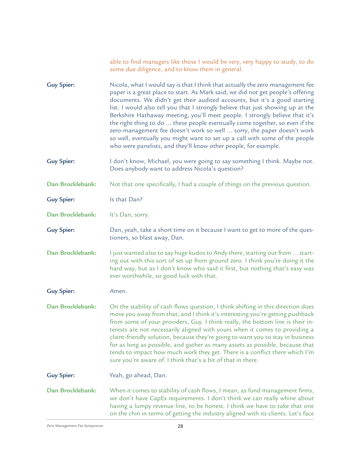|                   | able to find managers like those I would be very, very happy to study, to do<br>some due diligence, and to know them in general.                                                                                                                                                                                                                                                                                                                                                                                                                                                                                                                                                                                               |
|-------------------|--------------------------------------------------------------------------------------------------------------------------------------------------------------------------------------------------------------------------------------------------------------------------------------------------------------------------------------------------------------------------------------------------------------------------------------------------------------------------------------------------------------------------------------------------------------------------------------------------------------------------------------------------------------------------------------------------------------------------------|
| <b>Guy Spier:</b> | Nicola, what I would say is that I think that actually the zero management fee<br>paper is a great place to start. As Mark said, we did not get people's offering<br>documents. We didn't get their audited accounts, but it's a good starting<br>list. I would also tell you that I strongly believe that just showing up at the<br>Berkshire Hathaway meeting, you'll meet people. I strongly believe that it's<br>the right thing to do  these people eventually come together, so even if the<br>zero-management fee doesn't work so well  sorry, the paper doesn't work<br>so well, eventually you might want to set up a call with some of the people<br>who were panelists, and they'll know other people, for example. |
| <b>Guy Spier:</b> | I don't know, Michael, you were going to say something I think. Maybe not.<br>Does anybody want to address Nicola's question?                                                                                                                                                                                                                                                                                                                                                                                                                                                                                                                                                                                                  |
| Dan Brocklebank:  | Not that one specifically, I had a couple of things on the previous question.                                                                                                                                                                                                                                                                                                                                                                                                                                                                                                                                                                                                                                                  |
| <b>Guy Spier:</b> | Is that Dan?                                                                                                                                                                                                                                                                                                                                                                                                                                                                                                                                                                                                                                                                                                                   |
| Dan Brocklebank:  | It's Dan, sorry.                                                                                                                                                                                                                                                                                                                                                                                                                                                                                                                                                                                                                                                                                                               |
| <b>Guy Spier:</b> | Dan, yeah, take a short time on it because I want to get to more of the ques-<br>tioners, so blast away, Dan.                                                                                                                                                                                                                                                                                                                                                                                                                                                                                                                                                                                                                  |
| Dan Brocklebank:  | I just wanted also to say huge kudos to Andy there, starting out from  start-<br>ing out with this sort of set up from ground zero. I think you're doing it the<br>hard way, but as I don't know who said it first, but nothing that's easy was<br>ever worthwhile, so good luck with that.                                                                                                                                                                                                                                                                                                                                                                                                                                    |
| <b>Guy Spier:</b> | Amen.                                                                                                                                                                                                                                                                                                                                                                                                                                                                                                                                                                                                                                                                                                                          |
| Dan Brocklebank:  | On the stability of cash flows question, I think shifting in this direction does<br>move you away from that, and I think it's interesting you're getting pushback<br>from some of your providers, Guy. I think really, the bottom line is their in-<br>terests are not necessarily aligned with yours when it comes to providing a<br>client-friendly solution, because they're going to want you to stay in business<br>for as long as possible, and gather as many assets as possible, because that<br>tends to impact how much work they get. There is a conflict there which I'm<br>sure you're aware of. I think that's a bit of that in there.                                                                           |
| <b>Guy Spier:</b> | Yeah, go ahead, Dan.                                                                                                                                                                                                                                                                                                                                                                                                                                                                                                                                                                                                                                                                                                           |
| Dan Brocklebank:  | When it comes to stability of cash flows, I mean, as fund management firms,<br>we don't have CapEx requirements. I don't think we can really whine about<br>having a lumpy revenue line, to be honest. I think we have to take that one<br>on the chin in terms of getting the industry aligned with its clients. Let's face                                                                                                                                                                                                                                                                                                                                                                                                   |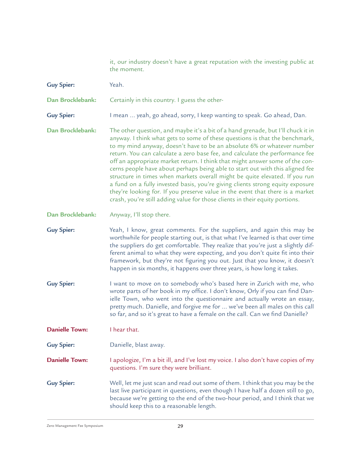it, our industry doesn't have a great reputation with the investing public at the moment.

Yeah. Certainly in this country. I guess the other-I mean ... yeah, go ahead, sorry, I keep wanting to speak. Go ahead, Dan. The other question, and maybe it's a bit of a hand grenade, but I'll chuck it in anyway. I think what gets to some of these questions is that the benchmark, to my mind anyway, doesn't have to be an absolute 6% or whatever number return. You can calculate a zero base fee, and calculate the performance fee off an appropriate market return. I think that might answer some of the concerns people have about perhaps being able to start out with this aligned fee structure in times when markets overall might be quite elevated. If you run a fund on a fully invested basis, you're giving clients strong equity exposure they're looking for. If you preserve value in the event that there is a market crash, you're still adding value for those clients in their equity portions. Anyway, I'll stop there. **Guy Spier: Dan Brocklebank: Guy Spier: Dan Brocklebank: Dan Brocklebank:**

Yeah, I know, great comments. For the suppliers, and again this may be worthwhile for people starting out, is that what I've learned is that over time the suppliers do get comfortable. They realize that you're just a slightly different animal to what they were expecting, and you don't quite fit into their framework, but they're not figuring you out. Just that you know, it doesn't happen in six months, it happens over three years, is how long it takes. **Guy Spier:**

I want to move on to somebody who's based here in Zurich with me, who wrote parts of her book in my office. I don't know, Orly if you can find Danielle Town, who went into the questionnaire and actually wrote an essay, pretty much. Danielle, and forgive me for ... we've been all males on this call so far, and so it's great to have a female on the call. Can we find Danielle? **Guy Spier:**

I hear that. **Danielle Town:**

Danielle, blast away. **Guy Spier:**

I apologize, I'm a bit ill, and I've lost my voice. I also don't have copies of my questions. I'm sure they were brilliant. **Danielle Town:**

Well, let me just scan and read out some of them. I think that you may be the last live participant in questions, even though I have half a dozen still to go, because we're getting to the end of the two-hour period, and I think that we should keep this to a reasonable length. **Guy Spier:**

Zero Management Fee Symposium and the control of the 29 and 29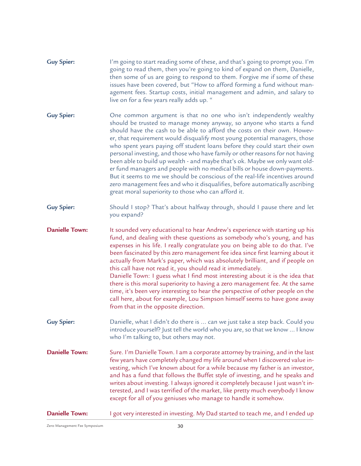| <b>Guy Spier:</b> | I'm going to start reading some of these, and that's going to prompt you. I'm |
|-------------------|-------------------------------------------------------------------------------|
|                   | going to read them, then you're going to kind of expand on them, Danielle,    |
|                   | then some of us are going to respond to them. Forgive me if some of these     |
|                   | issues have been covered, but "How to afford forming a fund without man-      |
|                   | agement fees. Startup costs, initial management and admin, and salary to      |
|                   | live on for a few years really adds up. "                                     |

- One common argument is that no one who isn't independently wealthy should be trusted to manage money anyway, so anyone who starts a fund should have the cash to be able to afford the costs on their own. However, that requirement would disqualify most young potential managers, those who spent years paying off student loans before they could start their own personal investing, and those who have family or other reasons for not having been able to build up wealth - and maybe that's ok. Maybe we only want older fund managers and people with no medical bills or house down-payments. But it seems to me we should be conscious of the real-life incentives around zero management fees and who it disqualifies, before automatically ascribing great moral superiority to those who can afford it. **Guy Spier:**
- Should I stop? That's about halfway through, should I pause there and let you expand? **Guy Spier:**
- It sounded very educational to hear Andrew's experience with starting up his fund, and dealing with these questions as somebody who's young, and has expenses in his life. I really congratulate you on being able to do that. I've been fascinated by this zero management fee idea since first learning about it actually from Mark's paper, which was absolutely brilliant, and if people on this call have not read it, you should read it immediately. Danielle Town: I guess what I find most interesting about it is the idea that there is this moral superiority to having a zero management fee. At the same time, it's been very interesting to hear the perspective of other people on the call here, about for example, Lou Simpson himself seems to have gone away **Danielle Town:**
- Danielle, what I didn't do there is ... can we just take a step back. Could you introduce yourself? Just tell the world who you are, so that we know ... I know who I'm talking to, but others may not. **Guy Spier:**

from that in the opposite direction.

- Sure. I'm Danielle Town. I am a corporate attorney by training, and in the last few years have completely changed my life around when I discovered value investing, which I've known about for a while because my father is an investor, and has a fund that follows the Buffet style of investing, and he speaks and writes about investing. I always ignored it completely because I just wasn't interested, and I was terrified of the market, like pretty much everybody I know except for all of you geniuses who manage to handle it somehow. **Danielle Town:**
- I got very interested in investing. My Dad started to teach me, and I ended up **Danielle Town:**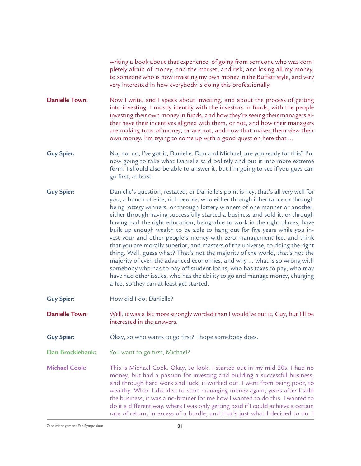writing a book about that experience, of going from someone who was completely afraid of money, and the market, and risk, and losing all my money, to someone who is now investing my own money in the Buffett style, and very very interested in how everybody is doing this professionally.

Now I write, and I speak about investing, and about the process of getting into investing. I mostly identify with the investors in funds, with the people investing their own money in funds, and how they're seeing their managers either have their incentives aligned with them, or not, and how their managers are making tons of money, or are not, and how that makes them view their own money. I'm trying to come up with a good question here that ... **Danielle Town:**

- No, no, no, I've got it, Danielle. Dan and Michael, are you ready for this? I'm now going to take what Danielle said politely and put it into more extreme form. I should also be able to answer it, but I'm going to see if you guys can go first, at least. **Guy Spier:**
- Danielle's question, restated, or Danielle's point is hey, that's all very well for you, a bunch of elite, rich people, who either through inheritance or through being lottery winners, or through lottery winners of one manner or another, either through having successfully started a business and sold it, or through having had the right education, being able to work in the right places, have built up enough wealth to be able to hang out for five years while you invest your and other people's money with zero management fee, and think that you are morally superior, and masters of the universe, to doing the right thing. Well, guess what? That's not the majority of the world, that's not the majority of even the advanced economies, and why ... what is so wrong with somebody who has to pay off student loans, who has taxes to pay, who may have had other issues, who has the ability to go and manage money, charging a fee, so they can at least get started. **Guy Spier:**
- How did I do, Danielle? **Guy Spier:**

Well, it was a bit more strongly worded than I would've put it, Guy, but I'll be interested in the answers. **Danielle Town:**

- Okay, so who wants to go first? I hope somebody does. **Guy Spier:**
- You want to go first, Michael? **Dan Brocklebank:**

This is Michael Cook. Okay, so look. I started out in my mid-20s. I had no money, but had a passion for investing and building a successful business, and through hard work and luck, it worked out. I went from being poor, to wealthy. When I decided to start managing money again, years after I sold the business, it was a no-brainer for me how I wanted to do this. I wanted to do it a different way, where I was only getting paid if I could achieve a certain rate of return, in excess of a hurdle, and that's just what I decided to do. I **Michael Cook:**

 $\mathsf Z$ ero Management Fee Symposium  $31$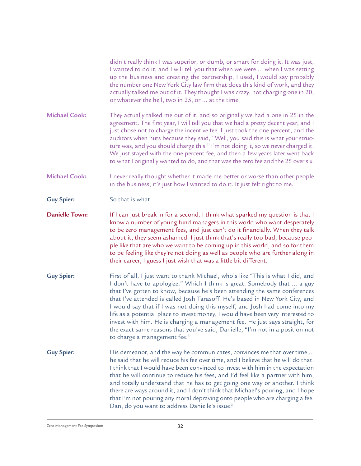didn't really think I was superior, or dumb, or smart for doing it. It was just, I wanted to do it, and I will tell you that when we were ... when I was setting up the business and creating the partnership, I used, I would say probably the number one New York City law firm that does this kind of work, and they actually talked me out of it. They thought I was crazy, not charging one in 20, or whatever the hell, two in 25, or ... at the time.

They actually talked me out of it, and so originally we had a one in 25 in the agreement. The first year, I will tell you that we had a pretty decent year, and I just chose not to charge the incentive fee. I just took the one percent, and the auditors when nuts because they said, "Well, you said this is what your structure was, and you should charge this." I'm not doing it, so we never charged it. We just stayed with the one percent fee, and then a few years later went back to what I originally wanted to do, and that was the zero fee and the 25 over six. **Michael Cook:**

I never really thought whether it made me better or worse than other people in the business, it's just how I wanted to do it. It just felt right to me. **Michael Cook:**

So that is what. **Guy Spier:**

If I can just break in for a second. I think what sparked my question is that I know a number of young fund managers in this world who want desperately to be zero management fees, and just can't do it financially. When they talk about it, they seem ashamed. I just think that's really too bad, because people like that are who we want to be coming up in this world, and so for them to be feeling like they're not doing as well as people who are further along in their career, I guess I just wish that was a little bit different. **Danielle Town:**

- First of all, I just want to thank Michael, who's like "This is what I did, and I don't have to apologize." Which I think is great. Somebody that ... a guy that I've gotten to know, because he's been attending the same conferences that I've attended is called Josh Tarasoff. He's based in New York City, and I would say that if I was not doing this myself, and Josh had come into my life as a potential place to invest money, I would have been very interested to invest with him. He is charging a management fee. He just says straight, for the exact same reasons that you've said, Danielle, "I'm not in a position not to charge a management fee." **Guy Spier:**
- His demeanor, and the way he communicates, convinces me that over time ... he said that he will reduce his fee over time, and I believe that he will do that. I think that I would have been convinced to invest with him in the expectation that he will continue to reduce his fees, and I'd feel like a partner with him, and totally understand that he has to get going one way or another. I think there are ways around it, and I don't think that Michael's pouring, and I hope that I'm not pouring any moral depraving onto people who are charging a fee. Dan, do you want to address Danielle's issue? **Guy Spier:**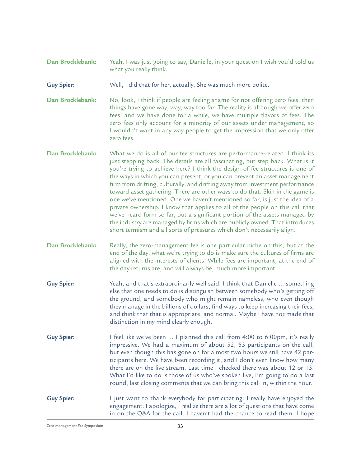- Yeah, I was just going to say, Danielle, in your question I wish you'd told us what you really think. **Dan Brocklebank:**
- Well, I did that for her, actually. She was much more polite. **Guy Spier:**
- No, look, I think if people are feeling shame for not offering zero fees, then things have gone way, way, way too far. The reality is although we offer zero fees, and we have done for a while, we have multiple flavors of fees. The zero fees only account for a minority of our assets under management, so I wouldn't want in any way people to get the impression that we only offer zero fees. **Dan Brocklebank:**
- What we do is all of our fee structures are performance-related. I think its just stepping back. The details are all fascinating, but step back. What is it you're trying to achieve here? I think the design of fee structures is one of the ways in which you can present, or you can prevent an asset management firm from drifting, culturally, and drifting away from investment performance toward asset gathering. There are other ways to do that. Skin in the game is one we've mentioned. One we haven't mentioned so far, is just the idea of a private ownership. I know that applies to all of the people on this call that we've heard form so far, but a significant portion of the assets managed by the industry are managed by firms which are publicly owned. That introduces short termism and all sorts of pressures which don't necessarily align. **Dan Brocklebank:**
- Really, the zero-management fee is one particular niche on this, but at the end of the day, what we're trying to do is make sure the cultures of firms are aligned with the interests of clients. While fees are important, at the end of the day returns are, and will always be, much more important. **Dan Brocklebank:**
- Yeah, and that's extraordinarily well said. I think that Danielle ... something else that one needs to do is distinguish between somebody who's getting off the ground, and somebody who might remain nameless, who even though they manage in the billions of dollars, find ways to keep increasing their fees, and think that that is appropriate, and normal. Maybe I have not made that distinction in my mind clearly enough. **Guy Spier:**
- I feel like we've been ... I planned this call from 4:00 to 6:00pm, it's really impressive. We had a maximum of about 52, 53 participants on the call, but even though this has gone on for almost two hours we still have 42 participants here. We have been recording it, and I don't even know how many there are on the live stream. Last time I checked there was about 12 or 13. What I'd like to do is those of us who've spoken live, I'm going to do a last round, last closing comments that we can bring this call in, within the hour. **Guy Spier:**
- I just want to thank everybody for participating. I really have enjoyed the engagement. I apologize, I realize there are a lot of questions that have come in on the Q&A for the call. I haven't had the chance to read them. I hope **Guy Spier:**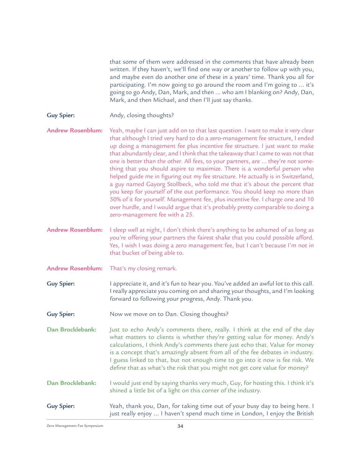that some of them were addressed in the comments that have already been written. If they haven't, we'll find one way or another to follow up with you, and maybe even do another one of these in a years' time. Thank you all for participating. I'm now going to go around the room and I'm going to ... it's going to go Andy, Dan, Mark, and then ... who am I blanking on? Andy, Dan, Mark, and then Michael, and then I'll just say thanks.

Andy, closing thoughts? **Guy Spier:**

Yeah, maybe I can just add on to that last question. I want to make it very clear that although I tried very hard to do a zero-management fee structure, I ended up doing a management fee plus incentive fee structure. I just want to make that abundantly clear, and I think that the takeaway that I came to was not that one is better than the other. All fees, to your partners, are ... they're not something that you should aspire to maximize. There is a wonderful person who helped guide me in figuring out my fee structure. He actually is in Switzerland, a guy named Gayorg Stollbeck, who told me that it's about the percent that you keep for yourself of the out performance. You should keep no more than 50% of it for yourself. Management fee, plus incentive fee. I charge one and 10 over hurdle, and I would argue that it's probably pretty comparable to doing a zero-management fee with a 25. **Andrew Rosenblum:**

I sleep well at night, I don't think there's anything to be ashamed of as long as you're offering your partners the fairest shake that you could possible afford. Yes, I wish I was doing a zero management fee, but I can't because I'm not in that bucket of being able to. **Andrew Rosenblum:**

- That's my closing remark. **Andrew Rosenblum:**
- I appreciate it, and it's fun to hear you. You've added an awful lot to this call. I really appreciate you coming on and sharing your thoughts, and I'm looking forward to following your progress, Andy. Thank you. **Guy Spier:**
- Now we move on to Dan. Closing thoughts? **Guy Spier:**

Just to echo Andy's comments there, really. I think at the end of the day what matters to clients is whether they're getting value for money. Andy's calculations, I think Andy's comments there just echo that. Value for money is a concept that's amazingly absent from all of the fee debates in industry. I guess linked to that, but not enough time to go into it now is fee risk. We define that as what's the risk that you might not get core value for money? **Dan Brocklebank:**

I would just end by saying thanks very much, Guy, for hosting this. I think it's shined a little bit of a light on this corner of the industry. **Dan Brocklebank:**

Yeah, thank you, Dan, for taking time out of your busy day to being here. I just really enjoy ... I haven't spend much time in London, I enjoy the British **Guy Spier:**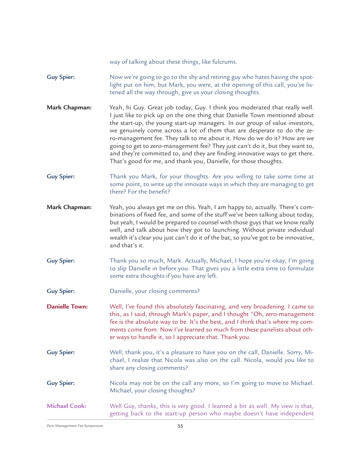way of talking about these things, like fulcrums.

Now we're going to go to the shy and retiring guy who hates having the spotlight put on him, but Mark, you were, at the opening of this call, you've listened all the way through, give us your closing thoughts. **Guy Spier:**

Yeah, hi Guy. Great job today, Guy. I think you moderated that really well. I just like to pick up on the one thing that Danielle Town mentioned about the start-up, the young start-up managers. In our group of value investors, we genuinely come across a lot of them that are desperate to do the zero-management fee. They talk to me about it. How do we do it? How are we going to get to zero-management fee? They just can't do it, but they want to, and they're committed to, and they are finding innovative ways to get there. That's good for me, and thank you, Danielle, for those thoughts. **Mark Chapman:**

Thank you Mark, for your thoughts. Are you willing to take some time at some point, to write up the innovate ways in which they are managing to get there? For the benefit? **Guy Spier:**

- Yeah, you always get me on this. Yeah, I am happy to, actually. There's combinations of fixed fee, and some of the stuff we've been talking about today, but yeah, I would be prepared to counsel with those guys that we know really well, and talk about how they got to launching. Without private individual wealth it's clear you just can't do it of the bat, so you've got to be innovative, and that's it. **Mark Chapman:**
- Thank you so much, Mark. Actually, Michael, I hope you're okay, I'm going to slip Danielle in before you. That gives you a little extra time to formulate some extra thoughts if you have any left. **Guy Spier:**
- Danielle, your closing comments? **Guy Spier:**

Well, I've found this absolutely fascinating, and very broadening. I came to this, as I said, through Mark's paper, and I thought "Oh, zero-management fee is the absolute way to be. It's the best, and I think that's where my comments come from. Now I've learned so much from these panelists about other ways to handle it, so I appreciate that. Thank you. **Danielle Town:**

- Well, thank you, it's a pleasure to have you on the call, Danielle. Sorry, Michael, I realize that Nicola was also on the call. Nicola, would you like to share any closing comments? **Guy Spier:**
- Nicola may not be on the call any more, so I'm going to move to Michael. Michael, your closing thoughts? **Guy Spier:**

Well Guy, thanks, this is very good. I learned a bit as well. My view is that, getting back to the start-up person who maybe doesn't have independent **Michael Cook:**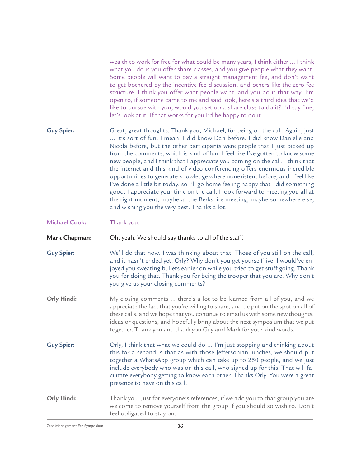wealth to work for free for what could be many years, I think either ... I think what you do is you offer share classes, and you give people what they want. Some people will want to pay a straight management fee, and don't want to get bothered by the incentive fee discussion, and others like the zero fee structure. I think you offer what people want, and you do it that way. I'm open to, if someone came to me and said look, here's a third idea that we'd like to pursue with you, would you set up a share class to do it? I'd say fine, let's look at it. If that works for you I'd be happy to do it.

Great, great thoughts. Thank you, Michael, for being on the call. Again, just ... it's sort of fun. I mean, I did know Dan before. I did know Danielle and Nicola before, but the other participants were people that I just picked up from the comments, which is kind of fun. I feel like I've gotten to know some new people, and I think that I appreciate you coming on the call. I think that the internet and this kind of video conferencing offers enormous incredible opportunities to generate knowledge where nonexistent before, and I feel like I've done a little bit today, so I'll go home feeling happy that I did something good. I appreciate your time on the call. I look forward to meeting you all at the right moment, maybe at the Berkshire meeting, maybe somewhere else, and wishing you the very best. Thanks a lot. **Guy Spier:**

Thank you. **Michael Cook:**

Oh, yeah. We should say thanks to all of the staff. **Mark Chapman:**

- We'll do that now. I was thinking about that. Those of you still on the call, and it hasn't ended yet. Orly? Why don't you get yourself live. I would've enjoyed you sweating bullets earlier on while you tried to get stuff going. Thank you for doing that. Thank you for being the trooper that you are. Why don't you give us your closing comments? **Guy Spier:**
- My closing comments ... there's a lot to be learned from all of you, and we appreciate the fact that you're willing to share, and be put on the spot on all of these calls, and we hope that you continue to email us with some new thoughts, ideas or questions, and hopefully bring about the next symposium that we put together. Thank you and thank you Guy and Mark for your kind words. **Orly Hindi:**
- Orly, I think that what we could do ... I'm just stopping and thinking about this for a second is that as with those Jeffersonian lunches, we should put together a WhatsApp group which can take up to 250 people, and we just include everybody who was on this call, who signed up for this. That will facilitate everybody getting to know each other. Thanks Orly. You were a great presence to have on this call. **Guy Spier:**

Thank you. Just for everyone's references, if we add you to that group you are welcome to remove yourself from the group if you should so wish to. Don't feel obligated to stay on. **Orly Hindi:**